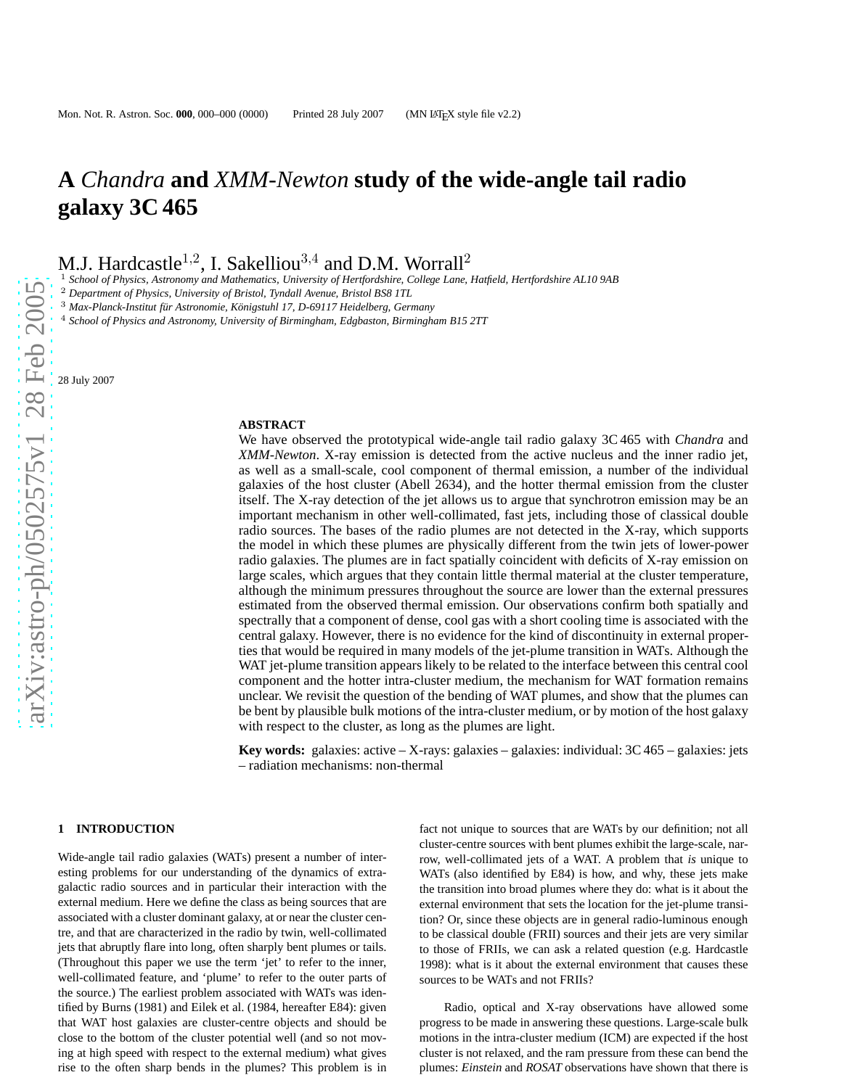# **A** *Chandra* **and** *XMM-Newton* **study of the wide-angle tail radio galaxy 3C 465**

M.J. Hardcastle<sup>1,2</sup>, I. Sakelliou<sup>3,4</sup> and D.M. Worrall<sup>2</sup>

<sup>1</sup> *School of Physics, Astronomy and Mathematics, University of Hertfordshire, College Lane, Hatfield, Hertfordshire AL10 9AB*

<sup>2</sup> *Department of Physics, University of Bristol, Tyndall Avenue, Bristol BS8 1TL*

<sup>3</sup> Max-Planck-Institut für Astronomie, Königstuhl 17, D-69117 Heidelberg, Germany

<sup>4</sup> *School of Physics and Astronomy, University of Birmingham, Edgbaston, Birmingham B15 2TT*

28 July 2007

# **ABSTRACT**

We have observed the prototypical wide-angle tail radio galaxy 3C 465 with *Chandra* and *XMM-Newton*. X-ray emission is detected from the active nucleus and the inner radio jet, as well as a small-scale, cool component of thermal emission, a number of the individual galaxies of the host cluster (Abell 2634), and the hotter thermal emission from the cluster itself. The X-ray detection of the jet allows us to argue that synchrotron emission may be an important mechanism in other well-collimated, fast jets, including those of classical double radio sources. The bases of the radio plumes are not detected in the X-ray, which supports the model in which these plumes are physically different from the twin jets of lower-power radio galaxies. The plumes are in fact spatially coincident with deficits of X-ray emission on large scales, which argues that they contain little thermal material at the cluster temperature, although the minimum pressures throughout the source are lower than the external pressures estimated from the observed thermal emission. Our observations confirm both spatially and spectrally that a component of dense, cool gas with a short cooling time is associated with the central galaxy. However, there is no evidence for the kind of discontinuity in external properties that would be required in many models of the jet-plume transition in WATs. Although the WAT jet-plume transition appears likely to be related to the interface between this central cool component and the hotter intra-cluster medium, the mechanism for WAT formation remains unclear. We revisit the question of the bending of WAT plumes, and show that the plumes can be bent by plausible bulk motions of the intra-cluster medium, or by motion of the host galaxy with respect to the cluster, as long as the plumes are light.

**Key words:** galaxies: active – X-rays: galaxies – galaxies: individual: 3C 465 – galaxies: jets – radiation mechanisms: non-thermal

# **1 INTRODUCTION**

Wide-angle tail radio galaxies (WATs) present a number of interesting problems for our understanding of the dynamics of extragalactic radio sources and in particular their interaction with the external medium. Here we define the class as being sources that are associated with a cluster dominant galaxy, at or near the cluster centre, and that are characterized in the radio by twin, well-collimated jets that abruptly flare into long, often sharply bent plumes or tails. (Throughout this paper we use the term 'jet' to refer to the inner, well-collimated feature, and 'plume' to refer to the outer parts of the source.) The earliest problem associated with WATs was identified by Burns (1981) and Eilek et al. (1984, hereafter E84): given that WAT host galaxies are cluster-centre objects and should be close to the bottom of the cluster potential well (and so not moving at high speed with respect to the external medium) what gives rise to the often sharp bends in the plumes? This problem is in

fact not unique to sources that are WATs by our definition; not all cluster-centre sources with bent plumes exhibit the large-scale, narrow, well-collimated jets of a WAT. A problem that *is* unique to WATs (also identified by E84) is how, and why, these jets make the transition into broad plumes where they do: what is it about the external environment that sets the location for the jet-plume transition? Or, since these objects are in general radio-luminous enough to be classical double (FRII) sources and their jets are very similar to those of FRIIs, we can ask a related question (e.g. Hardcastle 1998): what is it about the external environment that causes these sources to be WATs and not FRIIs?

Radio, optical and X-ray observations have allowed some progress to be made in answering these questions. Large-scale bulk motions in the intra-cluster medium (ICM) are expected if the host cluster is not relaxed, and the ram pressure from these can bend the plumes: *Einstein* and *ROSAT* observations have shown that there is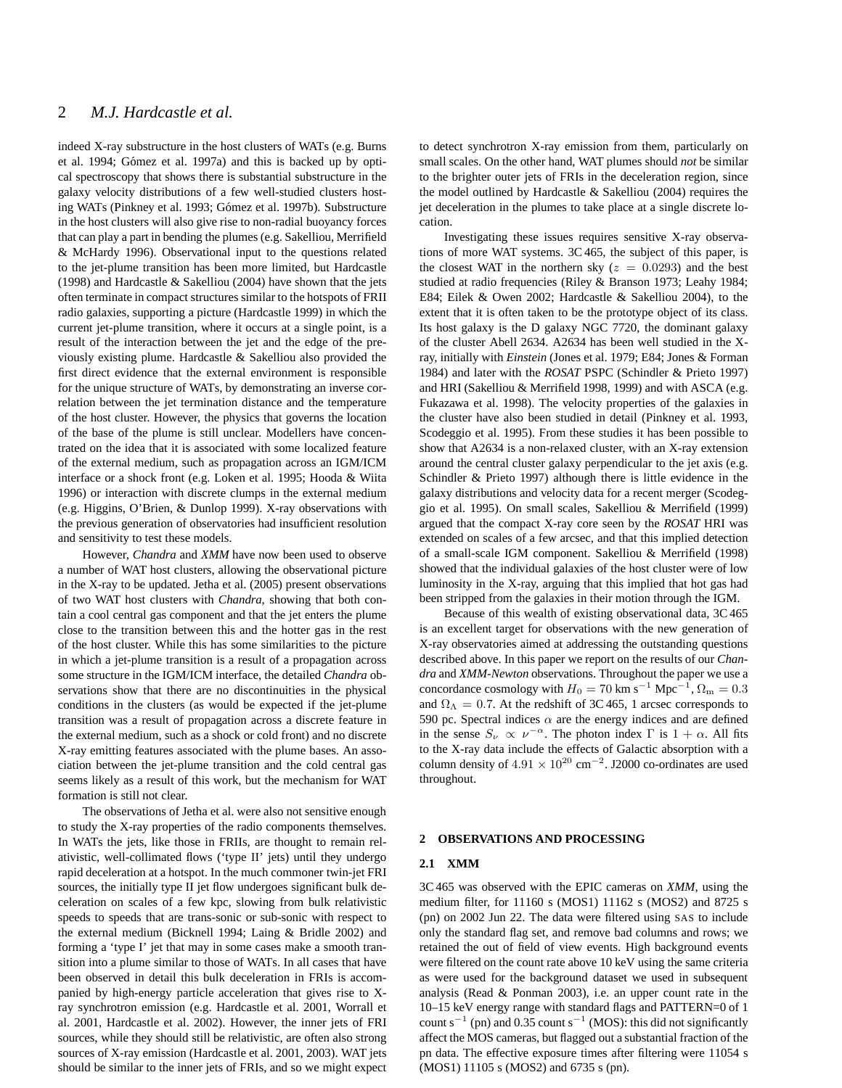# 2 *M.J. Hardcastle et al.*

indeed X-ray substructure in the host clusters of WATs (e.g. Burns et al. 1994; Gómez et al. 1997a) and this is backed up by optical spectroscopy that shows there is substantial substructure in the galaxy velocity distributions of a few well-studied clusters hosting WATs (Pinkney et al. 1993; Gómez et al. 1997b). Substructure in the host clusters will also give rise to non-radial buoyancy forces that can play a part in bending the plumes (e.g. Sakelliou, Merrifield & McHardy 1996). Observational input to the questions related to the jet-plume transition has been more limited, but Hardcastle (1998) and Hardcastle & Sakelliou (2004) have shown that the jets often terminate in compact structures similar to the hotspots of FRII radio galaxies, supporting a picture (Hardcastle 1999) in which the current jet-plume transition, where it occurs at a single point, is a result of the interaction between the jet and the edge of the previously existing plume. Hardcastle & Sakelliou also provided the first direct evidence that the external environment is responsible for the unique structure of WATs, by demonstrating an inverse correlation between the jet termination distance and the temperature of the host cluster. However, the physics that governs the location of the base of the plume is still unclear. Modellers have concentrated on the idea that it is associated with some localized feature of the external medium, such as propagation across an IGM/ICM interface or a shock front (e.g. Loken et al. 1995; Hooda & Wiita 1996) or interaction with discrete clumps in the external medium (e.g. Higgins, O'Brien, & Dunlop 1999). X-ray observations with the previous generation of observatories had insufficient resolution and sensitivity to test these models.

However, *Chandra* and *XMM* have now been used to observe a number of WAT host clusters, allowing the observational picture in the X-ray to be updated. Jetha et al. (2005) present observations of two WAT host clusters with *Chandra*, showing that both contain a cool central gas component and that the jet enters the plume close to the transition between this and the hotter gas in the rest of the host cluster. While this has some similarities to the picture in which a jet-plume transition is a result of a propagation across some structure in the IGM/ICM interface, the detailed *Chandra* observations show that there are no discontinuities in the physical conditions in the clusters (as would be expected if the jet-plume transition was a result of propagation across a discrete feature in the external medium, such as a shock or cold front) and no discrete X-ray emitting features associated with the plume bases. An association between the jet-plume transition and the cold central gas seems likely as a result of this work, but the mechanism for WAT formation is still not clear.

The observations of Jetha et al. were also not sensitive enough to study the X-ray properties of the radio components themselves. In WATs the jets, like those in FRIIs, are thought to remain relativistic, well-collimated flows ('type II' jets) until they undergo rapid deceleration at a hotspot. In the much commoner twin-jet FRI sources, the initially type II jet flow undergoes significant bulk deceleration on scales of a few kpc, slowing from bulk relativistic speeds to speeds that are trans-sonic or sub-sonic with respect to the external medium (Bicknell 1994; Laing & Bridle 2002) and forming a 'type I' jet that may in some cases make a smooth transition into a plume similar to those of WATs. In all cases that have been observed in detail this bulk deceleration in FRIs is accompanied by high-energy particle acceleration that gives rise to Xray synchrotron emission (e.g. Hardcastle et al. 2001, Worrall et al. 2001, Hardcastle et al. 2002). However, the inner jets of FRI sources, while they should still be relativistic, are often also strong sources of X-ray emission (Hardcastle et al. 2001, 2003). WAT jets should be similar to the inner jets of FRIs, and so we might expect

to detect synchrotron X-ray emission from them, particularly on small scales. On the other hand, WAT plumes should *not* be similar to the brighter outer jets of FRIs in the deceleration region, since the model outlined by Hardcastle & Sakelliou (2004) requires the jet deceleration in the plumes to take place at a single discrete location.

Investigating these issues requires sensitive X-ray observations of more WAT systems. 3C 465, the subject of this paper, is the closest WAT in the northern sky  $(z = 0.0293)$  and the best studied at radio frequencies (Riley & Branson 1973; Leahy 1984; E84; Eilek & Owen 2002; Hardcastle & Sakelliou 2004), to the extent that it is often taken to be the prototype object of its class. Its host galaxy is the D galaxy NGC 7720, the dominant galaxy of the cluster Abell 2634. A2634 has been well studied in the Xray, initially with *Einstein* (Jones et al. 1979; E84; Jones & Forman 1984) and later with the *ROSAT* PSPC (Schindler & Prieto 1997) and HRI (Sakelliou & Merrifield 1998, 1999) and with ASCA (e.g. Fukazawa et al. 1998). The velocity properties of the galaxies in the cluster have also been studied in detail (Pinkney et al. 1993, Scodeggio et al. 1995). From these studies it has been possible to show that A2634 is a non-relaxed cluster, with an X-ray extension around the central cluster galaxy perpendicular to the jet axis (e.g. Schindler & Prieto 1997) although there is little evidence in the galaxy distributions and velocity data for a recent merger (Scodeggio et al. 1995). On small scales, Sakelliou & Merrifield (1999) argued that the compact X-ray core seen by the *ROSAT* HRI was extended on scales of a few arcsec, and that this implied detection of a small-scale IGM component. Sakelliou & Merrifield (1998) showed that the individual galaxies of the host cluster were of low luminosity in the X-ray, arguing that this implied that hot gas had been stripped from the galaxies in their motion through the IGM.

Because of this wealth of existing observational data, 3C 465 is an excellent target for observations with the new generation of X-ray observatories aimed at addressing the outstanding questions described above. In this paper we report on the results of our *Chandra* and *XMM-Newton* observations. Throughout the paper we use a concordance cosmology with  $H_0 = 70 \text{ km s}^{-1} \text{ Mpc}^{-1}$ ,  $\Omega_{\text{m}} = 0.3$ and  $\Omega_{\Lambda} = 0.7$ . At the redshift of 3C 465, 1 arcsec corresponds to 590 pc. Spectral indices  $\alpha$  are the energy indices and are defined in the sense  $S_{\nu} \propto \nu^{-\alpha}$ . The photon index  $\Gamma$  is  $1 + \alpha$ . All fits to the X-ray data include the effects of Galactic absorption with a column density of  $4.91 \times 10^{20}$  cm<sup>-2</sup>. J2000 co-ordinates are used throughout.

# <span id="page-1-0"></span>**2 OBSERVATIONS AND PROCESSING**

# **2.1 XMM**

3C 465 was observed with the EPIC cameras on *XMM*, using the medium filter, for 11160 s (MOS1) 11162 s (MOS2) and 8725 s (pn) on 2002 Jun 22. The data were filtered using SAS to include only the standard flag set, and remove bad columns and rows; we retained the out of field of view events. High background events were filtered on the count rate above 10 keV using the same criteria as were used for the background dataset we used in subsequent analysis (Read & Ponman 2003), i.e. an upper count rate in the 10–15 keV energy range with standard flags and PATTERN=0 of 1 count s<sup>-1</sup> (pn) and 0.35 count s<sup>-1</sup> (MOS): this did not significantly affect the MOS cameras, but flagged out a substantial fraction of the pn data. The effective exposure times after filtering were 11054 s (MOS1) 11105 s (MOS2) and 6735 s (pn).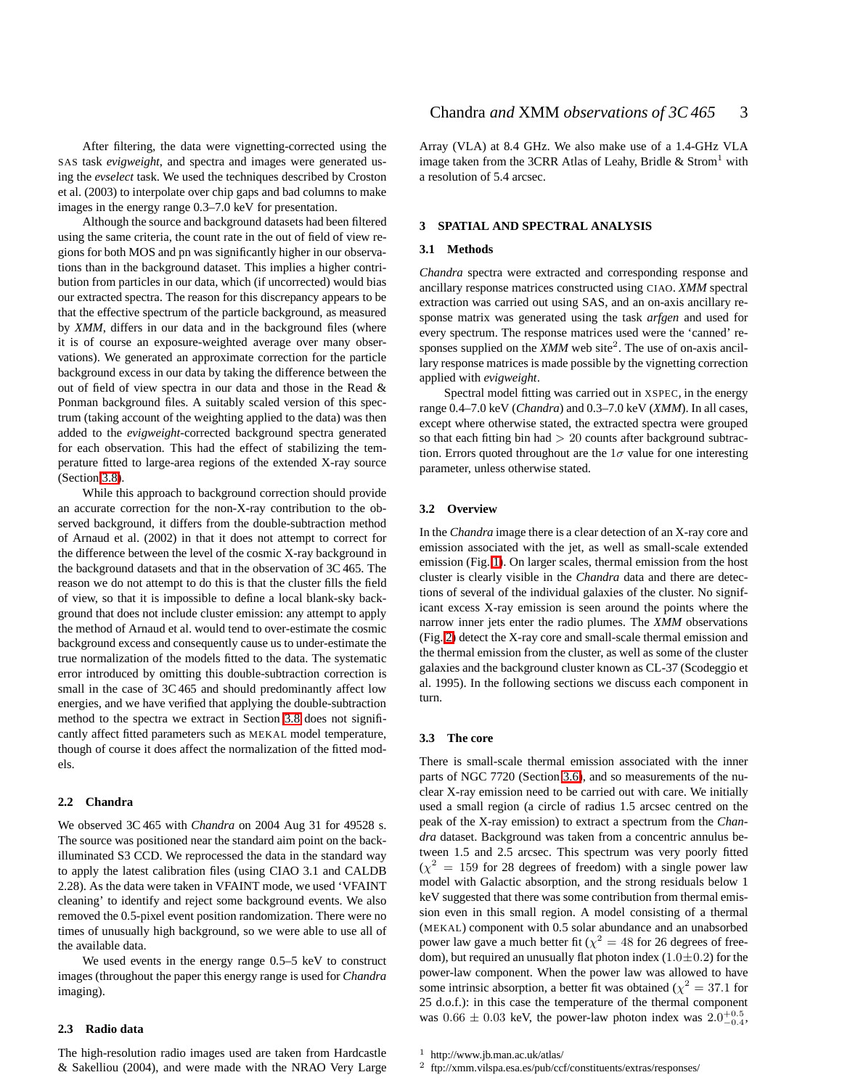After filtering, the data were vignetting-corrected using the SAS task *evigweight*, and spectra and images were generated using the *evselect* task. We used the techniques described by Croston et al. (2003) to interpolate over chip gaps and bad columns to make images in the energy range 0.3–7.0 keV for presentation.

Although the source and background datasets had been filtered using the same criteria, the count rate in the out of field of view regions for both MOS and pn was significantly higher in our observations than in the background dataset. This implies a higher contribution from particles in our data, which (if uncorrected) would bias our extracted spectra. The reason for this discrepancy appears to be that the effective spectrum of the particle background, as measured by *XMM*, differs in our data and in the background files (where it is of course an exposure-weighted average over many observations). We generated an approximate correction for the particle background excess in our data by taking the difference between the out of field of view spectra in our data and those in the Read & Ponman background files. A suitably scaled version of this spectrum (taking account of the weighting applied to the data) was then added to the *evigweight*-corrected background spectra generated for each observation. This had the effect of stabilizing the temperature fitted to large-area regions of the extended X-ray source (Section [3.8\)](#page-7-0).

While this approach to background correction should provide an accurate correction for the non-X-ray contribution to the observed background, it differs from the double-subtraction method of Arnaud et al. (2002) in that it does not attempt to correct for the difference between the level of the cosmic X-ray background in the background datasets and that in the observation of 3C 465. The reason we do not attempt to do this is that the cluster fills the field of view, so that it is impossible to define a local blank-sky background that does not include cluster emission: any attempt to apply the method of Arnaud et al. would tend to over-estimate the cosmic background excess and consequently cause us to under-estimate the true normalization of the models fitted to the data. The systematic error introduced by omitting this double-subtraction correction is small in the case of 3C 465 and should predominantly affect low energies, and we have verified that applying the double-subtraction method to the spectra we extract in Section [3.8](#page-7-0) does not significantly affect fitted parameters such as MEKAL model temperature, though of course it does affect the normalization of the fitted models.

# **2.2 Chandra**

We observed 3C 465 with *Chandra* on 2004 Aug 31 for 49528 s. The source was positioned near the standard aim point on the backilluminated S3 CCD. We reprocessed the data in the standard way to apply the latest calibration files (using CIAO 3.1 and CALDB 2.28). As the data were taken in VFAINT mode, we used 'VFAINT cleaning' to identify and reject some background events. We also removed the 0.5-pixel event position randomization. There were no times of unusually high background, so we were able to use all of the available data.

We used events in the energy range 0.5–5 keV to construct images (throughout the paper this energy range is used for *Chandra* imaging).

## **2.3 Radio data**

The high-resolution radio images used are taken from Hardcastle & Sakelliou (2004), and were made with the NRAO Very Large

Array (VLA) at 8.4 GHz. We also make use of a 1.4-GHz VLA image taken from the 3CRR Atlas of Leahy, Bridle  $&$  Strom<sup>1</sup> with a resolution of 5.4 arcsec.

# **3 SPATIAL AND SPECTRAL ANALYSIS**

# **3.1 Methods**

*Chandra* spectra were extracted and corresponding response and ancillary response matrices constructed using CIAO. *XMM* spectral extraction was carried out using SAS, and an on-axis ancillary response matrix was generated using the task *arfgen* and used for every spectrum. The response matrices used were the 'canned' responses supplied on the  $XMM$  web site<sup>2</sup>. The use of on-axis ancillary response matrices is made possible by the vignetting correction applied with *evigweight*.

Spectral model fitting was carried out in XSPEC, in the energy range 0.4–7.0 keV (*Chandra*) and 0.3–7.0 keV (*XMM*). In all cases, except where otherwise stated, the extracted spectra were grouped so that each fitting bin had  $> 20$  counts after background subtraction. Errors quoted throughout are the  $1\sigma$  value for one interesting parameter, unless otherwise stated.

#### **3.2 Overview**

In the *Chandra* image there is a clear detection of an X-ray core and emission associated with the jet, as well as small-scale extended emission (Fig. [1\)](#page-3-0). On larger scales, thermal emission from the host cluster is clearly visible in the *Chandra* data and there are detections of several of the individual galaxies of the cluster. No significant excess X-ray emission is seen around the points where the narrow inner jets enter the radio plumes. The *XMM* observations (Fig. [2\)](#page-4-0) detect the X-ray core and small-scale thermal emission and the thermal emission from the cluster, as well as some of the cluster galaxies and the background cluster known as CL-37 (Scodeggio et al. 1995). In the following sections we discuss each component in turn.

## <span id="page-2-0"></span>**3.3 The core**

There is small-scale thermal emission associated with the inner parts of NGC 7720 (Section [3.6\)](#page-6-0), and so measurements of the nuclear X-ray emission need to be carried out with care. We initially used a small region (a circle of radius 1.5 arcsec centred on the peak of the X-ray emission) to extract a spectrum from the *Chandra* dataset. Background was taken from a concentric annulus between 1.5 and 2.5 arcsec. This spectrum was very poorly fitted  $(\chi^2 = 159$  for 28 degrees of freedom) with a single power law model with Galactic absorption, and the strong residuals below 1 keV suggested that there was some contribution from thermal emission even in this small region. A model consisting of a thermal (MEKAL) component with 0.5 solar abundance and an unabsorbed power law gave a much better fit ( $\chi^2 = 48$  for 26 degrees of freedom), but required an unusually flat photon index  $(1.0 \pm 0.2)$  for the power-law component. When the power law was allowed to have some intrinsic absorption, a better fit was obtained ( $\chi^2 = 37.1$  for 25 d.o.f.): in this case the temperature of the thermal component was  $0.66 \pm 0.03$  keV, the power-law photon index was  $2.0^{+0.5}_{-0.4}$ ,

<sup>1</sup> http://www.jb.man.ac.uk/atlas/

<sup>2</sup> ftp://xmm.vilspa.esa.es/pub/ccf/constituents/extras/responses/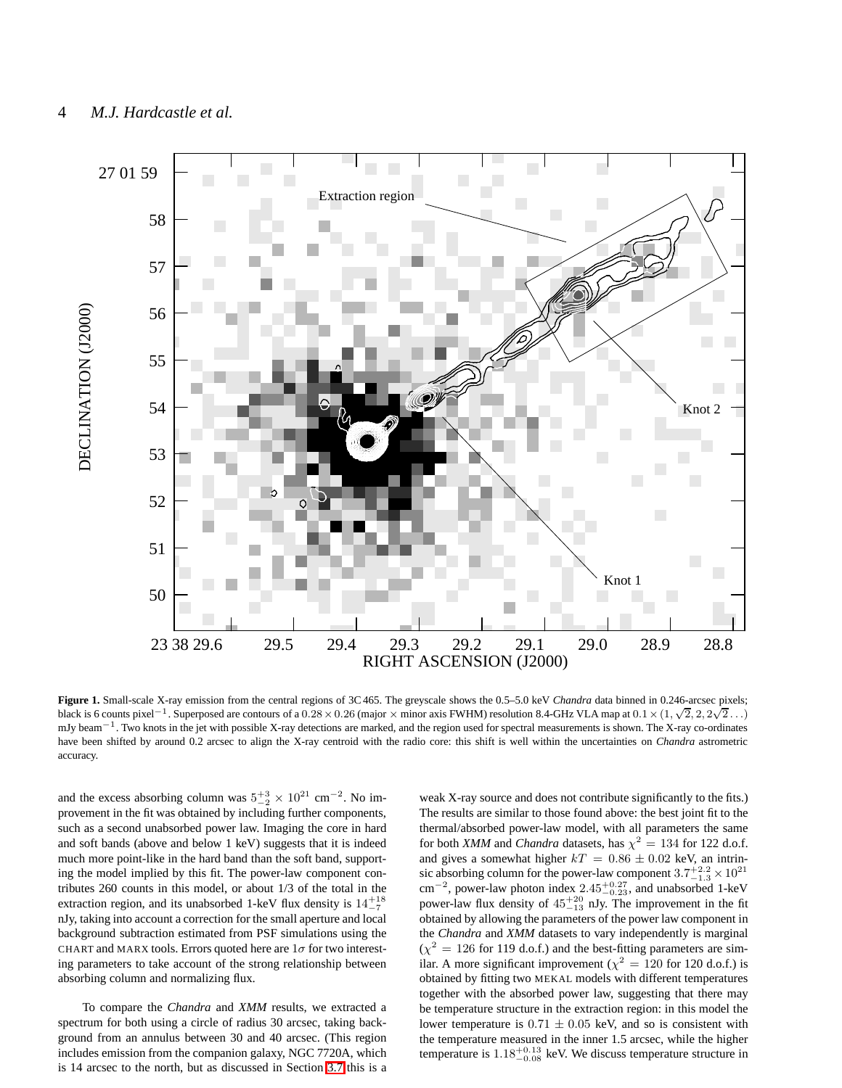

<span id="page-3-0"></span>**Figure 1.** Small-scale X-ray emission from the central regions of 3C 465. The greyscale shows the 0.5–5.0 keV *Chandra* data binned in 0.246-arcsec pixels;  $\frac{1}{2}$  black is 6 counts pixel<sup>-1</sup>. Superposed are contours of a 0.28 × 0.26 (major × minor axis FWHM) resolution 8.4-GHz VLA map at 0.1 × (1,  $\sqrt{2}$ , 2,  $2\sqrt{2}$ ...) mJy beam<sup>-1</sup>. Two knots in the jet with possible X-ray detections are marked, and the region used for spectral measurements is shown. The X-ray co-ordinates have been shifted by around 0.2 arcsec to align the X-ray centroid with the radio core: this shift is well within the uncertainties on *Chandra* astrometric accuracy.

and the excess absorbing column was  $5^{+3}_{-2} \times 10^{21}$  cm<sup>-2</sup>. No improvement in the fit was obtained by including further components, such as a second unabsorbed power law. Imaging the core in hard and soft bands (above and below 1 keV) suggests that it is indeed much more point-like in the hard band than the soft band, supporting the model implied by this fit. The power-law component contributes 260 counts in this model, or about 1/3 of the total in the extraction region, and its unabsorbed 1-keV flux density is  $14^{+18}_{-7}$ nJy, taking into account a correction for the small aperture and local background subtraction estimated from PSF simulations using the CHART and MARX tools. Errors quoted here are  $1\sigma$  for two interesting parameters to take account of the strong relationship between absorbing column and normalizing flux.

To compare the *Chandra* and *XMM* results, we extracted a spectrum for both using a circle of radius 30 arcsec, taking background from an annulus between 30 and 40 arcsec. (This region includes emission from the companion galaxy, NGC 7720A, which is 14 arcsec to the north, but as discussed in Section [3.7](#page-6-1) this is a

weak X-ray source and does not contribute significantly to the fits.) The results are similar to those found above: the best joint fit to the thermal/absorbed power-law model, with all parameters the same for both *XMM* and *Chandra* datasets, has  $\chi^2 = 134$  for 122 d.o.f. and gives a somewhat higher  $kT = 0.86 \pm 0.02$  keV, an intrinsic absorbing column for the power-law component  $3.7^{+2.2}_{-1.3} \times 10^{21}$ cm<sup>-2</sup>, power-law photon index  $2.45_{-0.23}^{+0.27}$ , and unabsorbed 1-keV power-law flux density of  $45^{+20}_{-13}$  nJy. The improvement in the fit obtained by allowing the parameters of the power law component in the *Chandra* and *XMM* datasets to vary independently is marginal  $(\chi^2 = 126$  for 119 d.o.f.) and the best-fitting parameters are similar. A more significant improvement ( $\chi^2 = 120$  for 120 d.o.f.) is obtained by fitting two MEKAL models with different temperatures together with the absorbed power law, suggesting that there may be temperature structure in the extraction region: in this model the lower temperature is  $0.71 \pm 0.05$  keV, and so is consistent with the temperature measured in the inner 1.5 arcsec, while the higher temperature is  $1.18^{+0.13}_{-0.08}$  keV. We discuss temperature structure in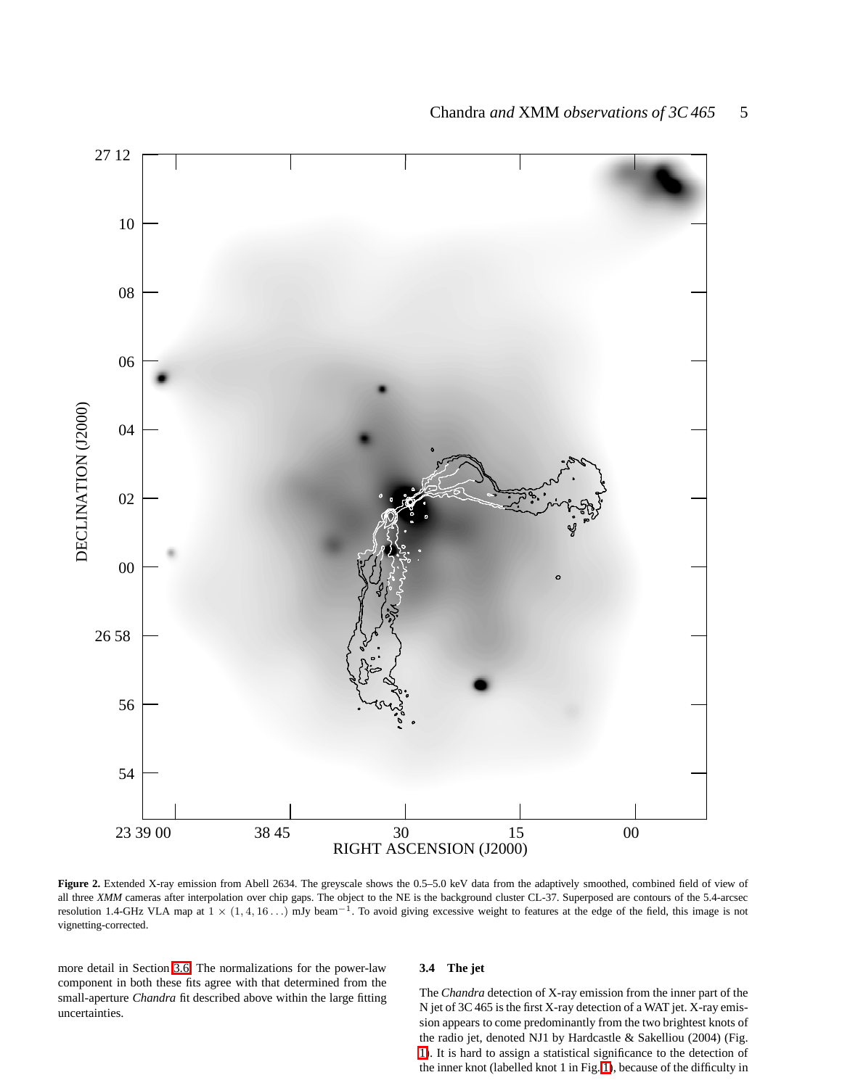

<span id="page-4-0"></span>**Figure 2.** Extended X-ray emission from Abell 2634. The greyscale shows the 0.5–5.0 keV data from the adaptively smoothed, combined field of view of all three *XMM* cameras after interpolation over chip gaps. The object to the NE is the background cluster CL-37. Superposed are contours of the 5.4-arcsec resolution 1.4-GHz VLA map at  $1 \times (1, 4, 16...)$  mJy beam<sup>-1</sup>. To avoid giving excessive weight to features at the edge of the field, this image is not vignetting-corrected.

more detail in Section [3.6.](#page-6-0) The normalizations for the power-law component in both these fits agree with that determined from the small-aperture *Chandra* fit described above within the large fitting uncertainties.

# **3.4 The jet**

The *Chandra* detection of X-ray emission from the inner part of the N jet of 3C 465 is the first X-ray detection of a WAT jet. X-ray emission appears to come predominantly from the two brightest knots of the radio jet, denoted NJ1 by Hardcastle & Sakelliou (2004) (Fig. [1\)](#page-3-0). It is hard to assign a statistical significance to the detection of the inner knot (labelled knot 1 in Fig. [1\)](#page-3-0), because of the difficulty in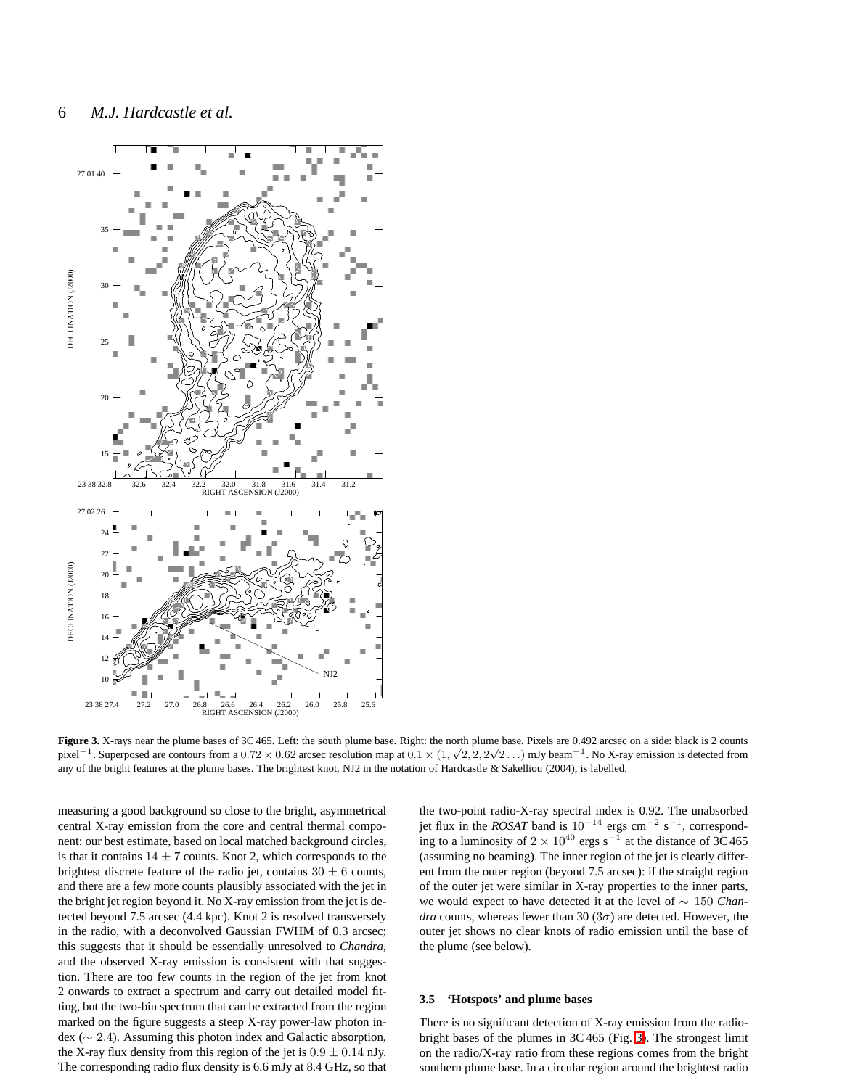

<span id="page-5-0"></span>**Figure 3.** X-rays near the plume bases of 3C 465. Left: the south plume base. Right: the north plume base. Pixels are 0.492 arcsec on a side: black is 2 counts pixel<sup>-1</sup>. Superposed are contours from a 0.72 × 0.62 arcsec resolution map at  $0.1 \times (1, \sqrt{2}, 2, 2\sqrt{2})$ ...) mJy beam<sup>-1</sup>. No X-ray emission is detected from any of the bright features at the plume bases. The brightest knot, NJ2 in the notation of Hardcastle & Sakelliou (2004), is labelled.

measuring a good background so close to the bright, asymmetrical central X-ray emission from the core and central thermal component: our best estimate, based on local matched background circles, is that it contains  $14 \pm 7$  counts. Knot 2, which corresponds to the brightest discrete feature of the radio jet, contains  $30 \pm 6$  counts, and there are a few more counts plausibly associated with the jet in the bright jet region beyond it. No X-ray emission from the jet is detected beyond 7.5 arcsec (4.4 kpc). Knot 2 is resolved transversely in the radio, with a deconvolved Gaussian FWHM of 0.3 arcsec; this suggests that it should be essentially unresolved to *Chandra*, and the observed X-ray emission is consistent with that suggestion. There are too few counts in the region of the jet from knot 2 onwards to extract a spectrum and carry out detailed model fitting, but the two-bin spectrum that can be extracted from the region marked on the figure suggests a steep X-ray power-law photon index (∼ 2.4). Assuming this photon index and Galactic absorption, the X-ray flux density from this region of the jet is  $0.9 \pm 0.14$  nJy. The corresponding radio flux density is 6.6 mJy at 8.4 GHz, so that

the two-point radio-X-ray spectral index is 0.92. The unabsorbed jet flux in the *ROSAT* band is  $10^{-14}$  ergs cm<sup>-2</sup> s<sup>-1</sup>, corresponding to a luminosity of 2  $\times$  10<sup>40</sup> ergs s<sup>-1</sup> at the distance of 3C 465 (assuming no beaming). The inner region of the jet is clearly different from the outer region (beyond 7.5 arcsec): if the straight region of the outer jet were similar in X-ray properties to the inner parts, we would expect to have detected it at the level of ∼ 150 *Chandra* counts, whereas fewer than 30 ( $3\sigma$ ) are detected. However, the outer jet shows no clear knots of radio emission until the base of the plume (see below).

# **3.5 'Hotspots' and plume bases**

There is no significant detection of X-ray emission from the radiobright bases of the plumes in 3C 465 (Fig. [3\)](#page-5-0). The strongest limit on the radio/X-ray ratio from these regions comes from the bright southern plume base. In a circular region around the brightest radio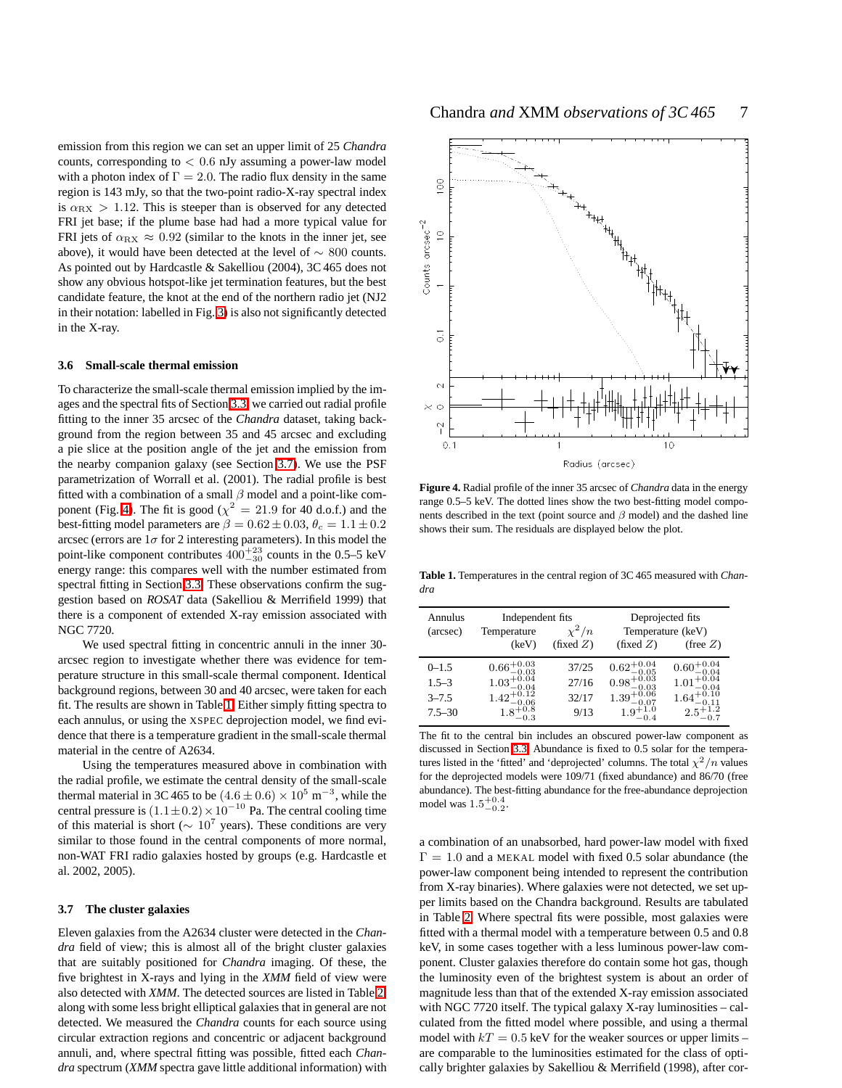emission from this region we can set an upper limit of 25 *Chandra* counts, corresponding to  $< 0.6$  nJy assuming a power-law model with a photon index of  $\Gamma = 2.0$ . The radio flux density in the same region is 143 mJy, so that the two-point radio-X-ray spectral index is  $\alpha_{\rm RX} > 1.12$ . This is steeper than is observed for any detected FRI jet base; if the plume base had had a more typical value for FRI jets of  $\alpha_{\rm RX} \approx 0.92$  (similar to the knots in the inner jet, see above), it would have been detected at the level of  $\sim 800$  counts. As pointed out by Hardcastle & Sakelliou (2004), 3C 465 does not show any obvious hotspot-like jet termination features, but the best candidate feature, the knot at the end of the northern radio jet (NJ2 in their notation: labelled in Fig. [3\)](#page-5-0) is also not significantly detected in the X-ray.

#### <span id="page-6-0"></span>**3.6 Small-scale thermal emission**

To characterize the small-scale thermal emission implied by the images and the spectral fits of Section [3.3,](#page-2-0) we carried out radial profile fitting to the inner 35 arcsec of the *Chandra* dataset, taking background from the region between 35 and 45 arcsec and excluding a pie slice at the position angle of the jet and the emission from the nearby companion galaxy (see Section [3.7\)](#page-6-1). We use the PSF parametrization of Worrall et al. (2001). The radial profile is best fitted with a combination of a small  $\beta$  model and a point-like com-ponent (Fig. [4\)](#page-6-2). The fit is good ( $\chi^2 = 21.9$  for 40 d.o.f.) and the best-fitting model parameters are  $\beta = 0.62 \pm 0.03$ ,  $\theta_c = 1.1 \pm 0.2$ arcsec (errors are  $1\sigma$  for 2 interesting parameters). In this model the point-like component contributes  $400^{+23}_{-30}$  counts in the 0.5–5 keV energy range: this compares well with the number estimated from spectral fitting in Section [3.3.](#page-2-0) These observations confirm the suggestion based on *ROSAT* data (Sakelliou & Merrifield 1999) that there is a component of extended X-ray emission associated with NGC 7720.

We used spectral fitting in concentric annuli in the inner 30 arcsec region to investigate whether there was evidence for temperature structure in this small-scale thermal component. Identical background regions, between 30 and 40 arcsec, were taken for each fit. The results are shown in Table [1.](#page-6-3) Either simply fitting spectra to each annulus, or using the XSPEC deprojection model, we find evidence that there is a temperature gradient in the small-scale thermal material in the centre of A2634.

Using the temperatures measured above in combination with the radial profile, we estimate the central density of the small-scale thermal material in 3C 465 to be  $(4.6 \pm 0.6) \times 10^5$  m<sup>-3</sup>, while the central pressure is  $(1.1 \pm 0.2) \times 10^{-10}$  Pa. The central cooling time of this material is short ( $\sim 10^7$  years). These conditions are very similar to those found in the central components of more normal, non-WAT FRI radio galaxies hosted by groups (e.g. Hardcastle et al. 2002, 2005).

## <span id="page-6-1"></span>**3.7 The cluster galaxies**

Eleven galaxies from the A2634 cluster were detected in the *Chandra* field of view; this is almost all of the bright cluster galaxies that are suitably positioned for *Chandra* imaging. Of these, the five brightest in X-rays and lying in the *XMM* field of view were also detected with *XMM*. The detected sources are listed in Table [2,](#page-8-0) along with some less bright elliptical galaxies that in general are not detected. We measured the *Chandra* counts for each source using circular extraction regions and concentric or adjacent background annuli, and, where spectral fitting was possible, fitted each *Chandra* spectrum (*XMM* spectra gave little additional information) with



<span id="page-6-2"></span>**Figure 4.** Radial profile of the inner 35 arcsec of *Chandra* data in the energy range 0.5–5 keV. The dotted lines show the two best-fitting model components described in the text (point source and  $\beta$  model) and the dashed line shows their sum. The residuals are displayed below the plot.

<span id="page-6-3"></span>**Table 1.** Temperatures in the central region of 3C 465 measured with *Chandra*

| Annulus<br>(arcsec) | Independent fits<br>Temperature                  | $\chi^2/n$ | Deprojected fits<br>Temperature (keV)            |                                                  |  |
|---------------------|--------------------------------------------------|------------|--------------------------------------------------|--------------------------------------------------|--|
|                     | (keV)                                            | (fixed Z)  | (fixed Z)                                        | (free $Z$ )                                      |  |
| $0 - 1.5$           | $0.66^{+0.03}_{-0.03}$<br>$1.03^{+0.04}_{-0.04}$ | 37/25      | $0.62^{+0.04}_{-0.05}$<br>$0.98^{+0.03}_{-0.03}$ | $0.60^{+0.04}_{-0.04}$<br>$1.01^{+0.04}_{-0.04}$ |  |
| $1.5 - 3$           |                                                  | 27/16      |                                                  |                                                  |  |
| $3 - 7.5$           | $1.42^{+0.1}_{-0.2}$<br>$^{-0.06}$               | 32/17      | 1.39                                             |                                                  |  |
| $7.5 - 30$          | $1.8^{+0.8}$                                     | 9/13       | 1.9                                              | $2.5^{+1.2}_{-0.7}$                              |  |

The fit to the central bin includes an obscured power-law component as discussed in Section [3.3.](#page-2-0) Abundance is fixed to 0.5 solar for the temperatures listed in the 'fitted' and 'deprojected' columns. The total  $\chi^2/n$  values for the deprojected models were 109/71 (fixed abundance) and 86/70 (free abundance). The best-fitting abundance for the free-abundance deprojection model was  $1.5^{+0.4}_{-0.2}$ .

a combination of an unabsorbed, hard power-law model with fixed  $\Gamma = 1.0$  and a MEKAL model with fixed 0.5 solar abundance (the power-law component being intended to represent the contribution from X-ray binaries). Where galaxies were not detected, we set upper limits based on the Chandra background. Results are tabulated in Table [2.](#page-8-0) Where spectral fits were possible, most galaxies were fitted with a thermal model with a temperature between 0.5 and 0.8 keV, in some cases together with a less luminous power-law component. Cluster galaxies therefore do contain some hot gas, though the luminosity even of the brightest system is about an order of magnitude less than that of the extended X-ray emission associated with NGC 7720 itself. The typical galaxy X-ray luminosities – calculated from the fitted model where possible, and using a thermal model with  $kT = 0.5$  keV for the weaker sources or upper limits – are comparable to the luminosities estimated for the class of optically brighter galaxies by Sakelliou & Merrifield (1998), after cor-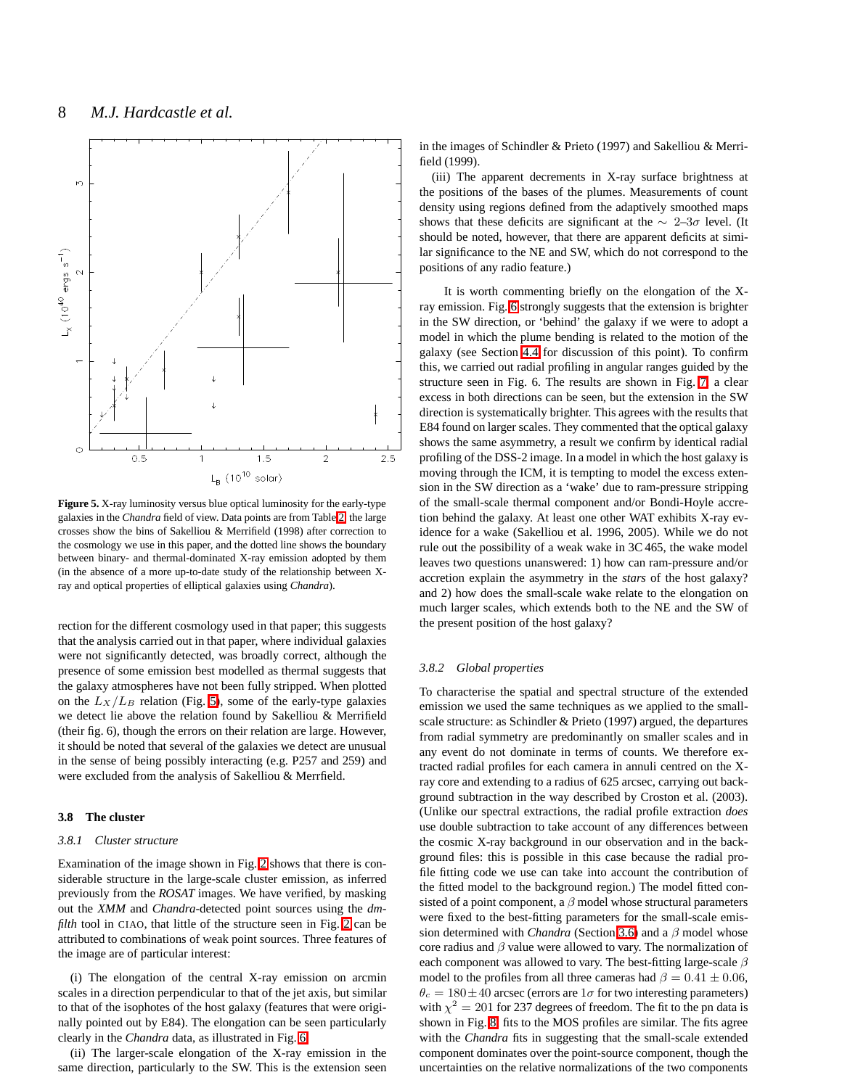

<span id="page-7-1"></span>**Figure 5.** X-ray luminosity versus blue optical luminosity for the early-type galaxies in the *Chandra* field of view. Data points are from Table [2:](#page-8-0) the large crosses show the bins of Sakelliou & Merrifield (1998) after correction to the cosmology we use in this paper, and the dotted line shows the boundary between binary- and thermal-dominated X-ray emission adopted by them (in the absence of a more up-to-date study of the relationship between Xray and optical properties of elliptical galaxies using *Chandra*).

rection for the different cosmology used in that paper; this suggests that the analysis carried out in that paper, where individual galaxies were not significantly detected, was broadly correct, although the presence of some emission best modelled as thermal suggests that the galaxy atmospheres have not been fully stripped. When plotted on the  $L_X/L_B$  relation (Fig. [5\)](#page-7-1), some of the early-type galaxies we detect lie above the relation found by Sakelliou & Merrifield (their fig. 6), though the errors on their relation are large. However, it should be noted that several of the galaxies we detect are unusual in the sense of being possibly interacting (e.g. P257 and 259) and were excluded from the analysis of Sakelliou & Merrfield.

# <span id="page-7-2"></span><span id="page-7-0"></span>**3.8 The cluster**

# *3.8.1 Cluster structure*

Examination of the image shown in Fig. [2](#page-4-0) shows that there is considerable structure in the large-scale cluster emission, as inferred previously from the *ROSAT* images. We have verified, by masking out the *XMM* and *Chandra*-detected point sources using the *dmfilth* tool in CIAO, that little of the structure seen in Fig. [2](#page-4-0) can be attributed to combinations of weak point sources. Three features of the image are of particular interest:

(i) The elongation of the central X-ray emission on arcmin scales in a direction perpendicular to that of the jet axis, but similar to that of the isophotes of the host galaxy (features that were originally pointed out by E84). The elongation can be seen particularly clearly in the *Chandra* data, as illustrated in Fig. [6.](#page-9-0)

(ii) The larger-scale elongation of the X-ray emission in the same direction, particularly to the SW. This is the extension seen in the images of Schindler & Prieto (1997) and Sakelliou & Merrifield (1999).

(iii) The apparent decrements in X-ray surface brightness at the positions of the bases of the plumes. Measurements of count density using regions defined from the adaptively smoothed maps shows that these deficits are significant at the  $\sim 2-3\sigma$  level. (It should be noted, however, that there are apparent deficits at similar significance to the NE and SW, which do not correspond to the positions of any radio feature.)

It is worth commenting briefly on the elongation of the Xray emission. Fig. [6](#page-9-0) strongly suggests that the extension is brighter in the SW direction, or 'behind' the galaxy if we were to adopt a model in which the plume bending is related to the motion of the galaxy (see Section [4.4](#page-12-0) for discussion of this point). To confirm this, we carried out radial profiling in angular ranges guided by the structure seen in Fig. 6. The results are shown in Fig. [7;](#page-8-1) a clear excess in both directions can be seen, but the extension in the SW direction is systematically brighter. This agrees with the results that E84 found on larger scales. They commented that the optical galaxy shows the same asymmetry, a result we confirm by identical radial profiling of the DSS-2 image. In a model in which the host galaxy is moving through the ICM, it is tempting to model the excess extension in the SW direction as a 'wake' due to ram-pressure stripping of the small-scale thermal component and/or Bondi-Hoyle accretion behind the galaxy. At least one other WAT exhibits X-ray evidence for a wake (Sakelliou et al. 1996, 2005). While we do not rule out the possibility of a weak wake in 3C 465, the wake model leaves two questions unanswered: 1) how can ram-pressure and/or accretion explain the asymmetry in the *stars* of the host galaxy? and 2) how does the small-scale wake relate to the elongation on much larger scales, which extends both to the NE and the SW of the present position of the host galaxy?

## *3.8.2 Global properties*

To characterise the spatial and spectral structure of the extended emission we used the same techniques as we applied to the smallscale structure: as Schindler & Prieto (1997) argued, the departures from radial symmetry are predominantly on smaller scales and in any event do not dominate in terms of counts. We therefore extracted radial profiles for each camera in annuli centred on the Xray core and extending to a radius of 625 arcsec, carrying out background subtraction in the way described by Croston et al. (2003). (Unlike our spectral extractions, the radial profile extraction *does* use double subtraction to take account of any differences between the cosmic X-ray background in our observation and in the background files: this is possible in this case because the radial profile fitting code we use can take into account the contribution of the fitted model to the background region.) The model fitted consisted of a point component, a  $\beta$  model whose structural parameters were fixed to the best-fitting parameters for the small-scale emission determined with *Chandra* (Section [3.6\)](#page-6-0) and a β model whose core radius and  $\beta$  value were allowed to vary. The normalization of each component was allowed to vary. The best-fitting large-scale  $\beta$ model to the profiles from all three cameras had  $\beta = 0.41 \pm 0.06$ ,  $\theta_c = 180 \pm 40$  arcsec (errors are  $1\sigma$  for two interesting parameters) with  $\chi^2 = 201$  for 237 degrees of freedom. The fit to the pn data is shown in Fig. [8;](#page-10-0) fits to the MOS profiles are similar. The fits agree with the *Chandra* fits in suggesting that the small-scale extended component dominates over the point-source component, though the uncertainties on the relative normalizations of the two components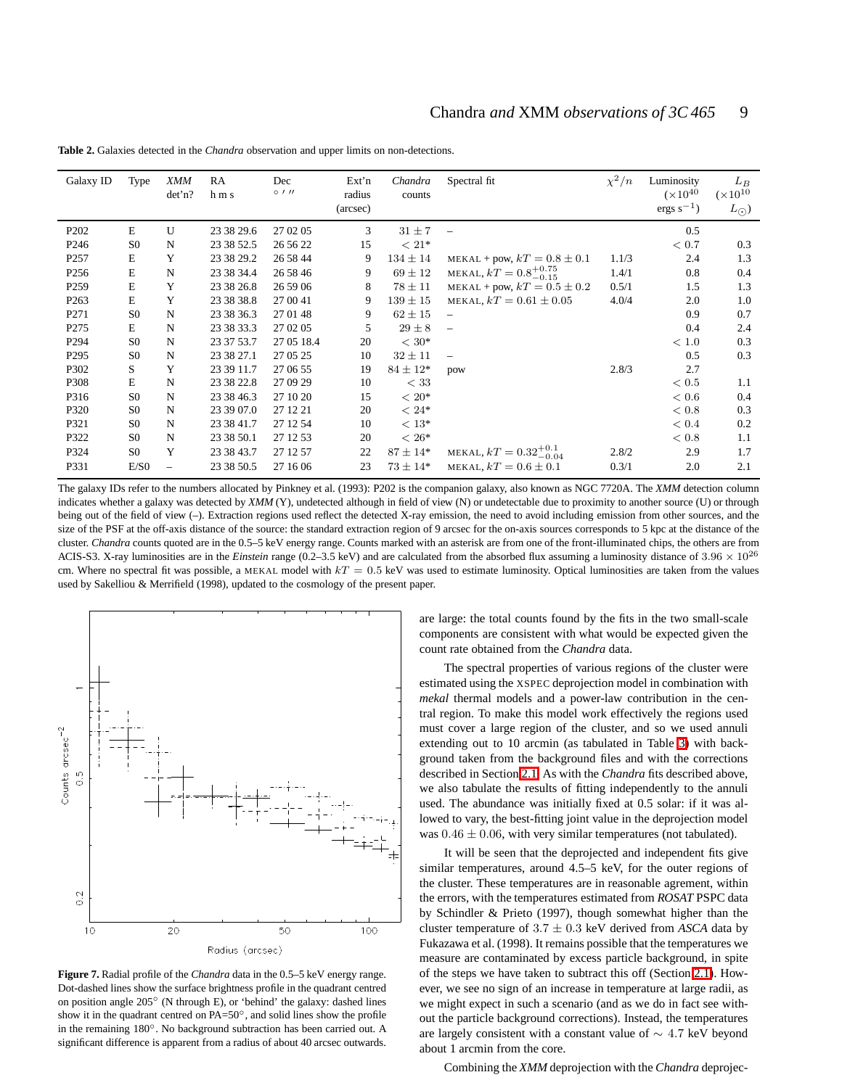| Galaxy ID        | Type           | <b>XMM</b><br>det'n?     | RA<br>h m s | Dec<br>0/11 | Ext'n<br>radius<br>(arcsec) | Chandra<br>counts | Spectral fit                      | $\chi^2/n$ | Luminosity<br>$(x10^{40}$<br>$ergs s^{-1}$ ) | $L_B$<br>$(x10^{10}$<br>$L_{\odot}$ ) |
|------------------|----------------|--------------------------|-------------|-------------|-----------------------------|-------------------|-----------------------------------|------------|----------------------------------------------|---------------------------------------|
| P <sub>202</sub> | E              | U                        | 23 38 29.6  | 27 02 05    | 3                           | $31 \pm 7$        |                                   |            | 0.5                                          |                                       |
| P <sub>246</sub> | S <sub>0</sub> | N                        | 23 38 52.5  | 26 56 22    | 15                          | $< 21^{\ast}$     |                                   |            | < 0.7                                        | 0.3                                   |
| P <sub>257</sub> | E              | Y                        | 23 38 29.2  | 26 58 44    | 9                           | $134 \pm 14$      | $MEKAL + pow, kT = 0.8 \pm 0.1$   | 1.1/3      | 2.4                                          | 1.3                                   |
| P <sub>256</sub> | E              | $\mathbf N$              | 23 38 34.4  | 26 58 46    | 9                           | $69\pm12$         | MEKAL, $kT = 0.8^{+0.75}_{-0.15}$ | 1.4/1      | 0.8                                          | 0.4                                   |
| P <sub>259</sub> | E              | Y                        | 23 38 26.8  | 26 59 06    | 8                           | $78 \pm 11$       | MEKAL + pow, $kT = 0.5 \pm 0.2$   | 0.5/1      | 1.5                                          | 1.3                                   |
| P <sub>263</sub> | E              | Y                        | 23 38 38.8  | 27 00 41    | 9                           | $139 \pm 15$      | MEKAL, $kT = 0.61 \pm 0.05$       | 4.0/4      | 2.0                                          | 1.0                                   |
| P <sub>271</sub> | S <sub>0</sub> | N                        | 23 38 36.3  | 27 01 48    | 9                           | $62 \pm 15$       | $\overline{\phantom{0}}$          |            | 0.9                                          | 0.7                                   |
| P <sub>275</sub> | E              | N                        | 23 38 33.3  | 27 02 05    | 5                           | $29 \pm 8$        | $\overline{\phantom{0}}$          |            | 0.4                                          | 2.4                                   |
| P294             | S <sub>0</sub> | $\mathbf N$              | 23 37 53.7  | 27 05 18.4  | 20                          | $< 30*$           |                                   |            | < 1.0                                        | 0.3                                   |
| P <sub>295</sub> | S <sub>0</sub> | N                        | 23 38 27.1  | 27 05 25    | 10                          | $32 \pm 11$       |                                   |            | 0.5                                          | 0.3                                   |
| P302             | S              | Y                        | 23 39 11.7  | 27 06 55    | 19                          | $84 \pm 12*$      | pow                               | 2.8/3      | 2.7                                          |                                       |
| P308             | E              | $\mathbf N$              | 23 38 22.8  | 27 09 29    | 10                          | $<$ 33            |                                   |            | < 0.5                                        | 1.1                                   |
| P316             | S <sub>0</sub> | N                        | 23 38 46.3  | 27 10 20    | 15                          | ${}_{\leq 20^*}$  |                                   |            | < 0.6                                        | 0.4                                   |
| P320             | S <sub>0</sub> | N                        | 23 39 07.0  | 27 12 21    | 20                          | $< 24*$           |                                   |            | < 0.8                                        | 0.3                                   |
| P321             | S <sub>0</sub> | $\mathbf N$              | 23 38 41.7  | 27 12 54    | 10                          | $< 13*$           |                                   |            | < 0.4                                        | 0.2                                   |
| P322             | S <sub>0</sub> | $\mathbf N$              | 23 38 50.1  | 27 12 53    | 20                          | ${}_{\leq 26^*}$  |                                   |            | < 0.8                                        | 1.1                                   |
| P324             | S <sub>0</sub> | Y                        | 23 38 43.7  | 27 12 57    | 22                          | $87\pm14^*$       | MEKAL, $kT = 0.32^{+0.1}_{-0.04}$ | 2.8/2      | 2.9                                          | 1.7                                   |
| P331             | E/S0           | $\overline{\phantom{0}}$ | 23 38 50.5  | 27 16 06    | 23                          | $73 \pm 14*$      | MEKAL, $kT = 0.6 \pm 0.1$         | 0.3/1      | 2.0                                          | 2.1                                   |

<span id="page-8-0"></span>**Table 2.** Galaxies detected in the *Chandra* observation and upper limits on non-detections.

The galaxy IDs refer to the numbers allocated by Pinkney et al. (1993): P202 is the companion galaxy, also known as NGC 7720A. The *XMM* detection column indicates whether a galaxy was detected by *XMM* (Y), undetected although in field of view (N) or undetectable due to proximity to another source (U) or through being out of the field of view (–). Extraction regions used reflect the detected X-ray emission, the need to avoid including emission from other sources, and the size of the PSF at the off-axis distance of the source: the standard extraction region of 9 arcsec for the on-axis sources corresponds to 5 kpc at the distance of the cluster. *Chandra* counts quoted are in the 0.5–5 keV energy range. Counts marked with an asterisk are from one of the front-illuminated chips, the others are from ACIS-S3. X-ray luminosities are in the *Einstein* range (0.2–3.5 keV) and are calculated from the absorbed flux assuming a luminosity distance of  $3.96 \times 10^{26}$ cm. Where no spectral fit was possible, a MEKAL model with  $kT = 0.5$  keV was used to estimate luminosity. Optical luminosities are taken from the values used by Sakelliou & Merrifield (1998), updated to the cosmology of the present paper.



<span id="page-8-1"></span>**Figure 7.** Radial profile of the *Chandra* data in the 0.5–5 keV energy range. Dot-dashed lines show the surface brightness profile in the quadrant centred on position angle 205◦ (N through E), or 'behind' the galaxy: dashed lines show it in the quadrant centred on PA=50°, and solid lines show the profile in the remaining 180◦ . No background subtraction has been carried out. A significant difference is apparent from a radius of about 40 arcsec outwards.

are large: the total counts found by the fits in the two small-scale components are consistent with what would be expected given the count rate obtained from the *Chandra* data.

The spectral properties of various regions of the cluster were estimated using the XSPEC deprojection model in combination with *mekal* thermal models and a power-law contribution in the central region. To make this model work effectively the regions used must cover a large region of the cluster, and so we used annuli extending out to 10 arcmin (as tabulated in Table [3\)](#page-9-1) with background taken from the background files and with the corrections described in Section [2.1.](#page-1-0) As with the *Chandra* fits described above, we also tabulate the results of fitting independently to the annuli used. The abundance was initially fixed at 0.5 solar: if it was allowed to vary, the best-fitting joint value in the deprojection model was  $0.46 \pm 0.06$ , with very similar temperatures (not tabulated).

It will be seen that the deprojected and independent fits give similar temperatures, around 4.5–5 keV, for the outer regions of the cluster. These temperatures are in reasonable agrement, within the errors, with the temperatures estimated from *ROSAT* PSPC data by Schindler & Prieto (1997), though somewhat higher than the cluster temperature of 3.7 ± 0.3 keV derived from *ASCA* data by Fukazawa et al. (1998). It remains possible that the temperatures we measure are contaminated by excess particle background, in spite of the steps we have taken to subtract this off (Section [2.1\)](#page-1-0). However, we see no sign of an increase in temperature at large radii, as we might expect in such a scenario (and as we do in fact see without the particle background corrections). Instead, the temperatures are largely consistent with a constant value of ∼ 4.7 keV beyond about 1 arcmin from the core.

Combining the *XMM* deprojection with the *Chandra* deprojec-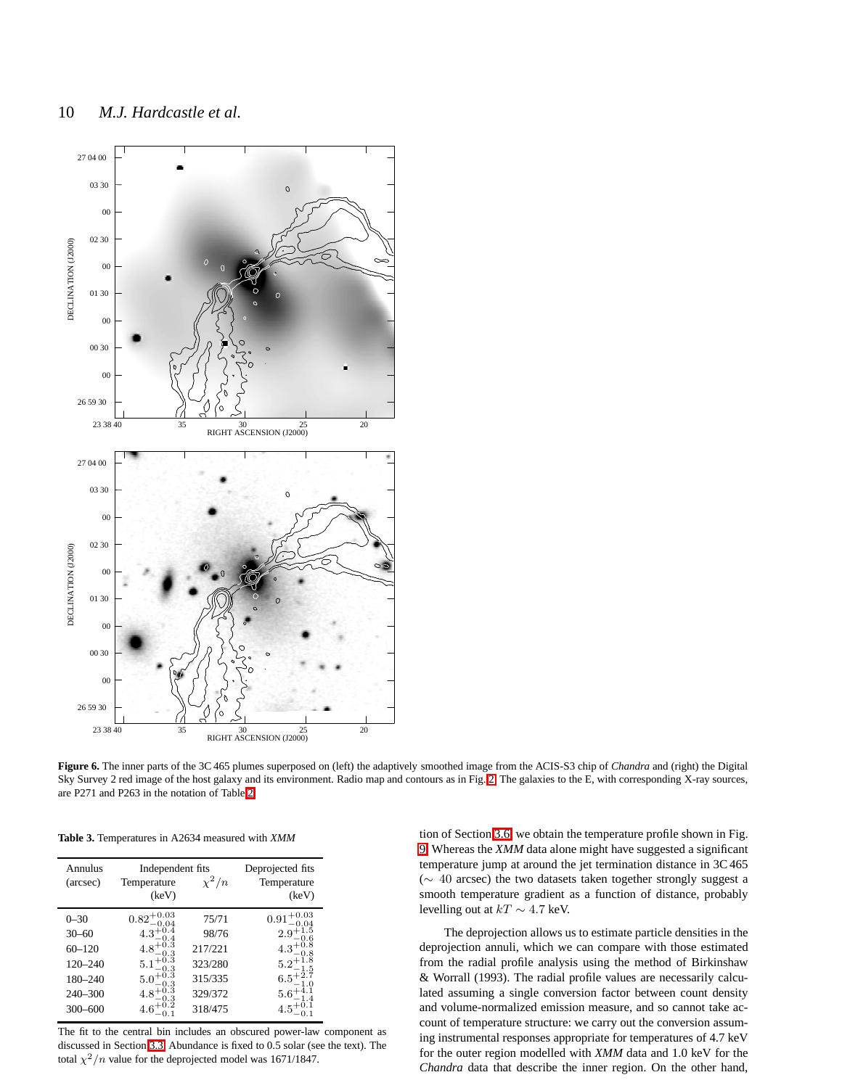

<span id="page-9-0"></span>**Figure 6.** The inner parts of the 3C 465 plumes superposed on (left) the adaptively smoothed image from the ACIS-S3 chip of *Chandra* and (right) the Digital Sky Survey 2 red image of the host galaxy and its environment. Radio map and contours as in Fig. [2.](#page-4-0) The galaxies to the E, with corresponding X-ray sources, are P271 and P263 in the notation of Table [2.](#page-8-0)

<span id="page-9-1"></span>**Table 3.** Temperatures in A2634 measured with *XMM*

| Annulus<br>(arcsec) | Independent fits<br>Temperature<br>(keV) | $\chi^2/n$ | Deprojected fits<br>Temperature<br>(keV) |
|---------------------|------------------------------------------|------------|------------------------------------------|
| $0 - 30$            |                                          | 75/71      | 0.91                                     |
| $30 - 60$           | $4.3^{+0}$                               | 98/76      | 2.9                                      |
| $60 - 120$          |                                          | 217/221    |                                          |
| $120 - 240$         | 5.1                                      | 323/280    | 5.2                                      |
| 180-240             | 5.0                                      | 315/335    |                                          |
| 240-300             | $4.8^{+0.3}$                             | 329/372    |                                          |
| $300 - 600$         |                                          | 318/475    |                                          |

The fit to the central bin includes an obscured power-law component as discussed in Section [3.3.](#page-2-0) Abundance is fixed to 0.5 solar (see the text). The total  $\chi^2/n$  value for the deprojected model was 1671/1847.

tion of Section [3.6,](#page-6-0) we obtain the temperature profile shown in Fig. [9.](#page-10-1) Whereas the *XMM* data alone might have suggested a significant temperature jump at around the jet termination distance in 3C 465 (∼ 40 arcsec) the two datasets taken together strongly suggest a smooth temperature gradient as a function of distance, probably levelling out at  $kT \sim 4.7$  keV.

The deprojection allows us to estimate particle densities in the deprojection annuli, which we can compare with those estimated from the radial profile analysis using the method of Birkinshaw & Worrall (1993). The radial profile values are necessarily calculated assuming a single conversion factor between count density and volume-normalized emission measure, and so cannot take account of temperature structure: we carry out the conversion assuming instrumental responses appropriate for temperatures of 4.7 keV for the outer region modelled with *XMM* data and 1.0 keV for the *Chandra* data that describe the inner region. On the other hand,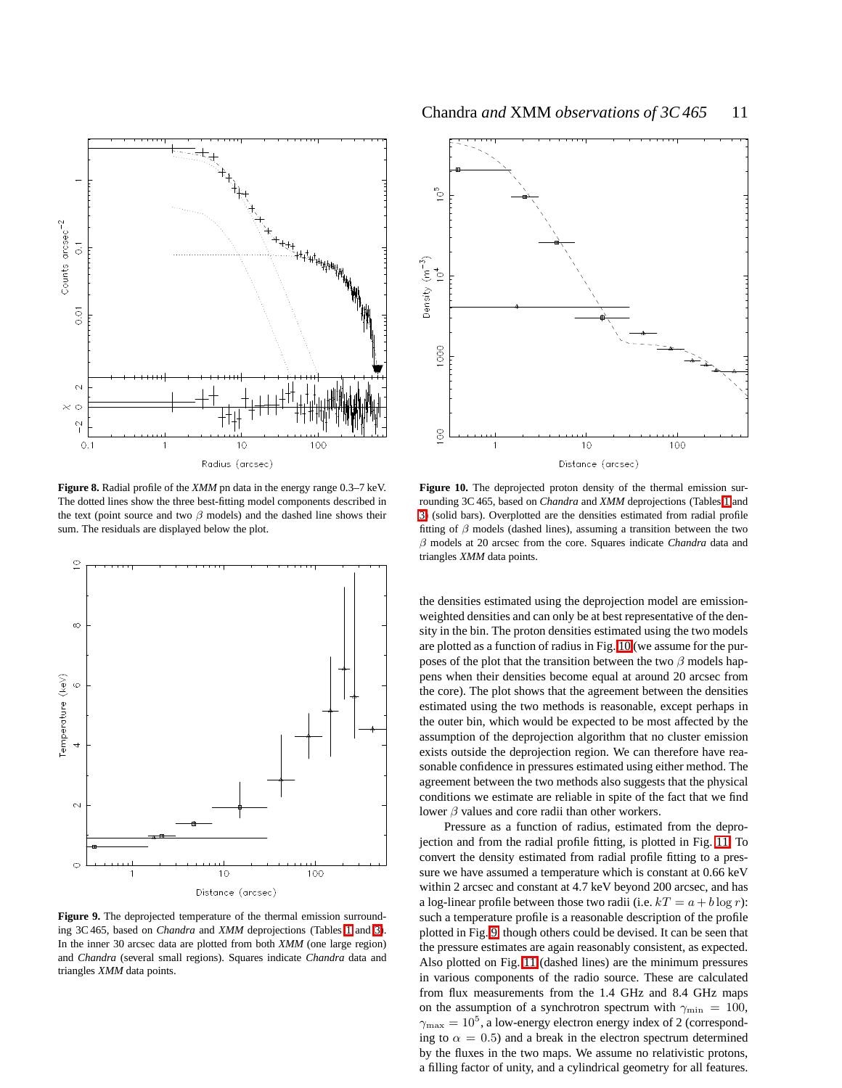

<span id="page-10-0"></span>**Figure 8.** Radial profile of the *XMM* pn data in the energy range 0.3–7 keV. The dotted lines show the three best-fitting model components described in the text (point source and two  $\beta$  models) and the dashed line shows their sum. The residuals are displayed below the plot.



<span id="page-10-1"></span>**Figure 9.** The deprojected temperature of the thermal emission surrounding 3C 465, based on *Chandra* and *XMM* deprojections (Tables [1](#page-6-3) and [3\)](#page-9-1). In the inner 30 arcsec data are plotted from both *XMM* (one large region) and *Chandra* (several small regions). Squares indicate *Chandra* data and triangles *XMM* data points.



<span id="page-10-2"></span>**Figure 10.** The deprojected proton density of the thermal emission surrounding 3C 465, based on *Chandra* and *XMM* deprojections (Tables [1](#page-6-3) and [3\)](#page-9-1) (solid bars). Overplotted are the densities estimated from radial profile fitting of  $\beta$  models (dashed lines), assuming a transition between the two β models at 20 arcsec from the core. Squares indicate *Chandra* data and triangles *XMM* data points.

the densities estimated using the deprojection model are emissionweighted densities and can only be at best representative of the density in the bin. The proton densities estimated using the two models are plotted as a function of radius in Fig. [10](#page-10-2) (we assume for the purposes of the plot that the transition between the two  $\beta$  models happens when their densities become equal at around 20 arcsec from the core). The plot shows that the agreement between the densities estimated using the two methods is reasonable, except perhaps in the outer bin, which would be expected to be most affected by the assumption of the deprojection algorithm that no cluster emission exists outside the deprojection region. We can therefore have reasonable confidence in pressures estimated using either method. The agreement between the two methods also suggests that the physical conditions we estimate are reliable in spite of the fact that we find lower  $\beta$  values and core radii than other workers.

Pressure as a function of radius, estimated from the deprojection and from the radial profile fitting, is plotted in Fig. [11.](#page-11-0) To convert the density estimated from radial profile fitting to a pressure we have assumed a temperature which is constant at 0.66 keV within 2 arcsec and constant at 4.7 keV beyond 200 arcsec, and has a log-linear profile between those two radii (i.e.  $kT = a + b \log r$ ): such a temperature profile is a reasonable description of the profile plotted in Fig. [9,](#page-10-1) though others could be devised. It can be seen that the pressure estimates are again reasonably consistent, as expected. Also plotted on Fig. [11](#page-11-0) (dashed lines) are the minimum pressures in various components of the radio source. These are calculated from flux measurements from the 1.4 GHz and 8.4 GHz maps on the assumption of a synchrotron spectrum with  $\gamma_{\text{min}} = 100$ ,  $\gamma_{\rm max} = 10^5$ , a low-energy electron energy index of 2 (corresponding to  $\alpha = 0.5$ ) and a break in the electron spectrum determined by the fluxes in the two maps. We assume no relativistic protons, a filling factor of unity, and a cylindrical geometry for all features.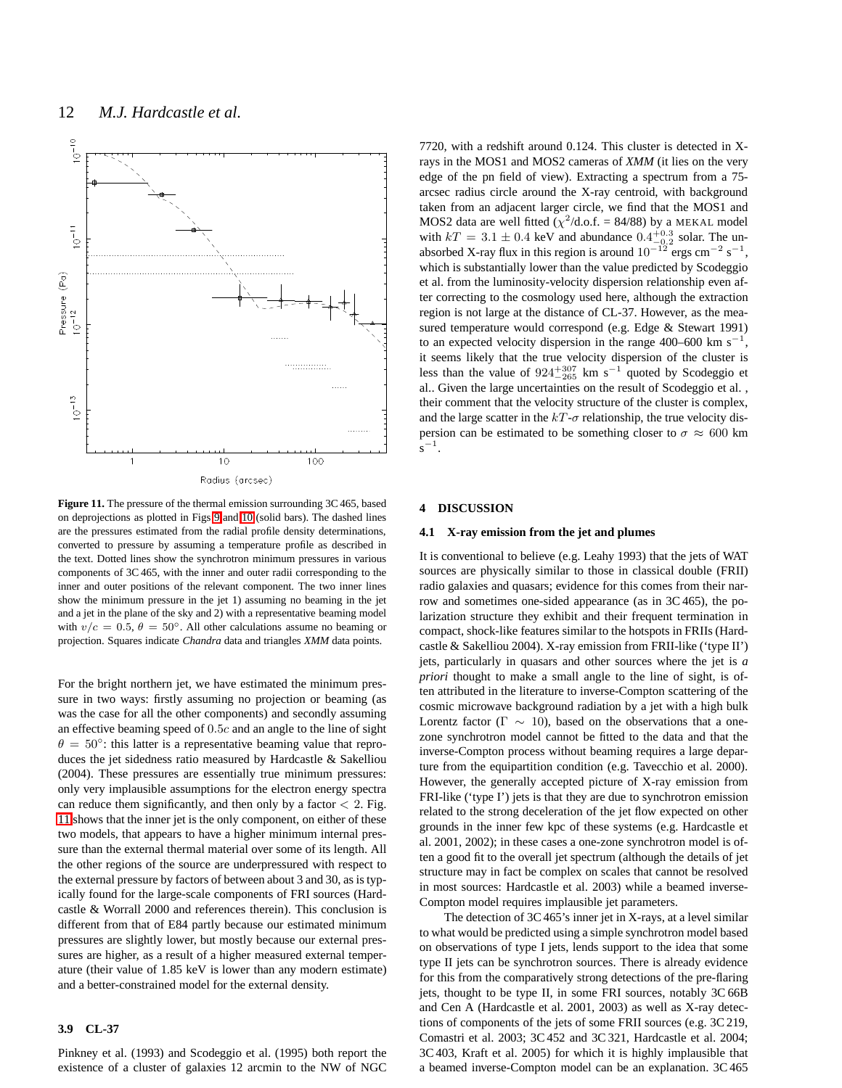

<span id="page-11-0"></span>**Figure 11.** The pressure of the thermal emission surrounding 3C 465, based on deprojections as plotted in Figs [9](#page-10-1) and [10](#page-10-2) (solid bars). The dashed lines are the pressures estimated from the radial profile density determinations, converted to pressure by assuming a temperature profile as described in the text. Dotted lines show the synchrotron minimum pressures in various components of 3C 465, with the inner and outer radii corresponding to the inner and outer positions of the relevant component. The two inner lines show the minimum pressure in the jet 1) assuming no beaming in the jet and a jet in the plane of the sky and 2) with a representative beaming model with  $v/c = 0.5$ ,  $\theta = 50^\circ$ . All other calculations assume no beaming or projection. Squares indicate *Chandra* data and triangles *XMM* data points.

For the bright northern jet, we have estimated the minimum pressure in two ways: firstly assuming no projection or beaming (as was the case for all the other components) and secondly assuming an effective beaming speed of 0.5c and an angle to the line of sight  $\theta = 50^{\circ}$ : this latter is a representative beaming value that reproduces the jet sidedness ratio measured by Hardcastle & Sakelliou (2004). These pressures are essentially true minimum pressures: only very implausible assumptions for the electron energy spectra can reduce them significantly, and then only by a factor  $\langle 2.$  Fig. [11](#page-11-0) shows that the inner jet is the only component, on either of these two models, that appears to have a higher minimum internal pressure than the external thermal material over some of its length. All the other regions of the source are underpressured with respect to the external pressure by factors of between about 3 and 30, as is typically found for the large-scale components of FRI sources (Hardcastle & Worrall 2000 and references therein). This conclusion is different from that of E84 partly because our estimated minimum pressures are slightly lower, but mostly because our external pressures are higher, as a result of a higher measured external temperature (their value of 1.85 keV is lower than any modern estimate) and a better-constrained model for the external density.

#### **3.9 CL-37**

Pinkney et al. (1993) and Scodeggio et al. (1995) both report the existence of a cluster of galaxies 12 arcmin to the NW of NGC 7720, with a redshift around 0.124. This cluster is detected in Xrays in the MOS1 and MOS2 cameras of *XMM* (it lies on the very edge of the pn field of view). Extracting a spectrum from a 75 arcsec radius circle around the X-ray centroid, with background taken from an adjacent larger circle, we find that the MOS1 and MOS2 data are well fitted ( $\chi^2$ /d.o.f. = 84/88) by a MEKAL model with  $kT = 3.1 \pm 0.4$  keV and abundance  $0.4^{+0.3}_{-0.2}$  solar. The unabsorbed X-ray flux in this region is around  $10^{-12}$  ergs cm<sup>-2</sup> s<sup>-1</sup>, which is substantially lower than the value predicted by Scodeggio et al. from the luminosity-velocity dispersion relationship even after correcting to the cosmology used here, although the extraction region is not large at the distance of CL-37. However, as the measured temperature would correspond (e.g. Edge & Stewart 1991) to an expected velocity dispersion in the range 400–600 km  $s^{-1}$ , it seems likely that the true velocity dispersion of the cluster is less than the value of  $924^{+307}_{-265}$  km s<sup>-1</sup> quoted by Scodeggio et al.. Given the large uncertainties on the result of Scodeggio et al. , their comment that the velocity structure of the cluster is complex, and the large scatter in the  $kT$ - $\sigma$  relationship, the true velocity dispersion can be estimated to be something closer to  $\sigma \approx 600$  km  $\int_{s^{-1}}^{t}$ .

# **4 DISCUSSION**

## **4.1 X-ray emission from the jet and plumes**

It is conventional to believe (e.g. Leahy 1993) that the jets of WAT sources are physically similar to those in classical double (FRII) radio galaxies and quasars; evidence for this comes from their narrow and sometimes one-sided appearance (as in 3C 465), the polarization structure they exhibit and their frequent termination in compact, shock-like features similar to the hotspots in FRIIs (Hardcastle & Sakelliou 2004). X-ray emission from FRII-like ('type II') jets, particularly in quasars and other sources where the jet is *a priori* thought to make a small angle to the line of sight, is often attributed in the literature to inverse-Compton scattering of the cosmic microwave background radiation by a jet with a high bulk Lorentz factor ( $\Gamma \sim 10$ ), based on the observations that a onezone synchrotron model cannot be fitted to the data and that the inverse-Compton process without beaming requires a large departure from the equipartition condition (e.g. Tavecchio et al. 2000). However, the generally accepted picture of X-ray emission from FRI-like ('type I') jets is that they are due to synchrotron emission related to the strong deceleration of the jet flow expected on other grounds in the inner few kpc of these systems (e.g. Hardcastle et al. 2001, 2002); in these cases a one-zone synchrotron model is often a good fit to the overall jet spectrum (although the details of jet structure may in fact be complex on scales that cannot be resolved in most sources: Hardcastle et al. 2003) while a beamed inverse-Compton model requires implausible jet parameters.

The detection of 3C 465's inner jet in X-rays, at a level similar to what would be predicted using a simple synchrotron model based on observations of type I jets, lends support to the idea that some type II jets can be synchrotron sources. There is already evidence for this from the comparatively strong detections of the pre-flaring jets, thought to be type II, in some FRI sources, notably 3C 66B and Cen A (Hardcastle et al. 2001, 2003) as well as X-ray detections of components of the jets of some FRII sources (e.g. 3C 219, Comastri et al. 2003; 3C 452 and 3C 321, Hardcastle et al. 2004; 3C 403, Kraft et al. 2005) for which it is highly implausible that a beamed inverse-Compton model can be an explanation. 3C 465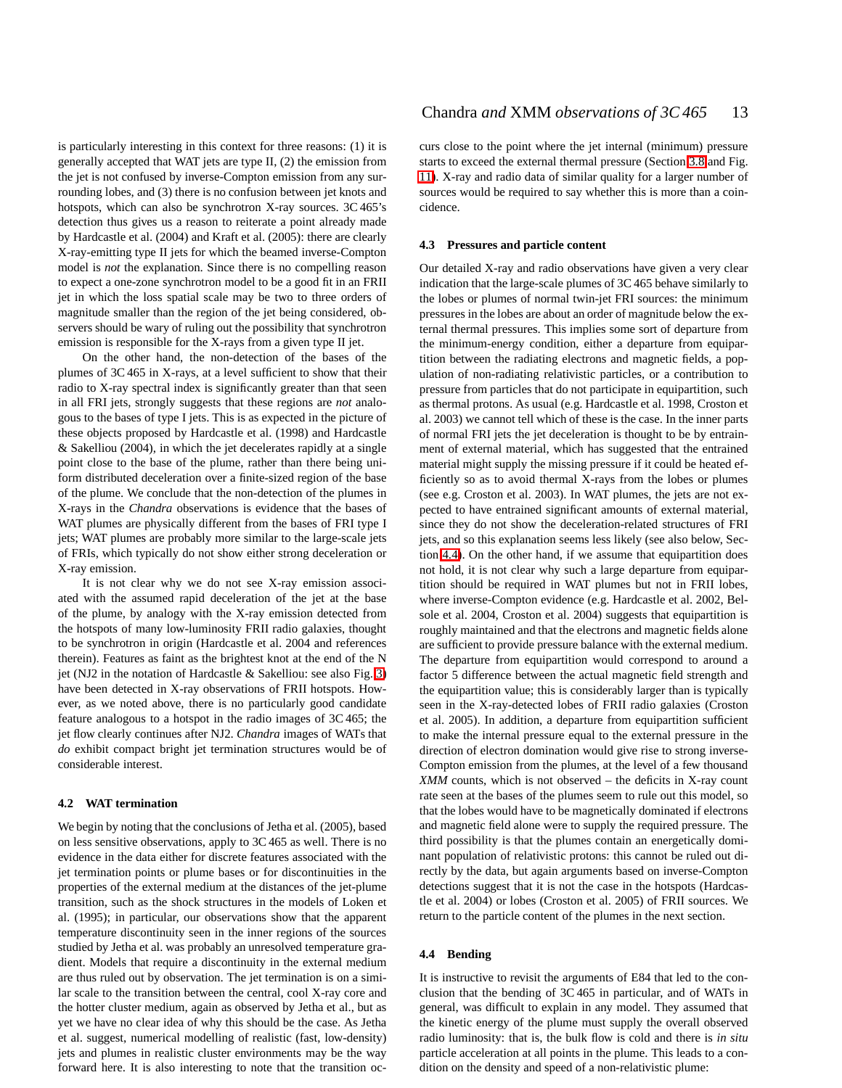is particularly interesting in this context for three reasons: (1) it is generally accepted that WAT jets are type II, (2) the emission from the jet is not confused by inverse-Compton emission from any surrounding lobes, and (3) there is no confusion between jet knots and hotspots, which can also be synchrotron X-ray sources. 3C 465's detection thus gives us a reason to reiterate a point already made by Hardcastle et al. (2004) and Kraft et al. (2005): there are clearly X-ray-emitting type II jets for which the beamed inverse-Compton model is *not* the explanation. Since there is no compelling reason to expect a one-zone synchrotron model to be a good fit in an FRII jet in which the loss spatial scale may be two to three orders of magnitude smaller than the region of the jet being considered, observers should be wary of ruling out the possibility that synchrotron emission is responsible for the X-rays from a given type II jet.

On the other hand, the non-detection of the bases of the plumes of 3C 465 in X-rays, at a level sufficient to show that their radio to X-ray spectral index is significantly greater than that seen in all FRI jets, strongly suggests that these regions are *not* analogous to the bases of type I jets. This is as expected in the picture of these objects proposed by Hardcastle et al. (1998) and Hardcastle & Sakelliou (2004), in which the jet decelerates rapidly at a single point close to the base of the plume, rather than there being uniform distributed deceleration over a finite-sized region of the base of the plume. We conclude that the non-detection of the plumes in X-rays in the *Chandra* observations is evidence that the bases of WAT plumes are physically different from the bases of FRI type I jets; WAT plumes are probably more similar to the large-scale jets of FRIs, which typically do not show either strong deceleration or X-ray emission.

It is not clear why we do not see X-ray emission associated with the assumed rapid deceleration of the jet at the base of the plume, by analogy with the X-ray emission detected from the hotspots of many low-luminosity FRII radio galaxies, thought to be synchrotron in origin (Hardcastle et al. 2004 and references therein). Features as faint as the brightest knot at the end of the N jet (NJ2 in the notation of Hardcastle & Sakelliou: see also Fig. [3\)](#page-5-0) have been detected in X-ray observations of FRII hotspots. However, as we noted above, there is no particularly good candidate feature analogous to a hotspot in the radio images of 3C 465; the jet flow clearly continues after NJ2. *Chandra* images of WATs that *do* exhibit compact bright jet termination structures would be of considerable interest.

#### **4.2 WAT termination**

We begin by noting that the conclusions of Jetha et al. (2005), based on less sensitive observations, apply to 3C 465 as well. There is no evidence in the data either for discrete features associated with the jet termination points or plume bases or for discontinuities in the properties of the external medium at the distances of the jet-plume transition, such as the shock structures in the models of Loken et al. (1995); in particular, our observations show that the apparent temperature discontinuity seen in the inner regions of the sources studied by Jetha et al. was probably an unresolved temperature gradient. Models that require a discontinuity in the external medium are thus ruled out by observation. The jet termination is on a similar scale to the transition between the central, cool X-ray core and the hotter cluster medium, again as observed by Jetha et al., but as yet we have no clear idea of why this should be the case. As Jetha et al. suggest, numerical modelling of realistic (fast, low-density) jets and plumes in realistic cluster environments may be the way forward here. It is also interesting to note that the transition occurs close to the point where the jet internal (minimum) pressure starts to exceed the external thermal pressure (Section [3.8](#page-7-0) and Fig. [11\)](#page-11-0). X-ray and radio data of similar quality for a larger number of sources would be required to say whether this is more than a coincidence.

#### <span id="page-12-1"></span>**4.3 Pressures and particle content**

Our detailed X-ray and radio observations have given a very clear indication that the large-scale plumes of 3C 465 behave similarly to the lobes or plumes of normal twin-jet FRI sources: the minimum pressures in the lobes are about an order of magnitude below the external thermal pressures. This implies some sort of departure from the minimum-energy condition, either a departure from equipartition between the radiating electrons and magnetic fields, a population of non-radiating relativistic particles, or a contribution to pressure from particles that do not participate in equipartition, such as thermal protons. As usual (e.g. Hardcastle et al. 1998, Croston et al. 2003) we cannot tell which of these is the case. In the inner parts of normal FRI jets the jet deceleration is thought to be by entrainment of external material, which has suggested that the entrained material might supply the missing pressure if it could be heated efficiently so as to avoid thermal X-rays from the lobes or plumes (see e.g. Croston et al. 2003). In WAT plumes, the jets are not expected to have entrained significant amounts of external material, since they do not show the deceleration-related structures of FRI jets, and so this explanation seems less likely (see also below, Section [4.4\)](#page-12-0). On the other hand, if we assume that equipartition does not hold, it is not clear why such a large departure from equipartition should be required in WAT plumes but not in FRII lobes, where inverse-Compton evidence (e.g. Hardcastle et al. 2002, Belsole et al. 2004, Croston et al. 2004) suggests that equipartition is roughly maintained and that the electrons and magnetic fields alone are sufficient to provide pressure balance with the external medium. The departure from equipartition would correspond to around a factor 5 difference between the actual magnetic field strength and the equipartition value; this is considerably larger than is typically seen in the X-ray-detected lobes of FRII radio galaxies (Croston et al. 2005). In addition, a departure from equipartition sufficient to make the internal pressure equal to the external pressure in the direction of electron domination would give rise to strong inverse-Compton emission from the plumes, at the level of a few thousand *XMM* counts, which is not observed – the deficits in X-ray count rate seen at the bases of the plumes seem to rule out this model, so that the lobes would have to be magnetically dominated if electrons and magnetic field alone were to supply the required pressure. The third possibility is that the plumes contain an energetically dominant population of relativistic protons: this cannot be ruled out directly by the data, but again arguments based on inverse-Compton detections suggest that it is not the case in the hotspots (Hardcastle et al. 2004) or lobes (Croston et al. 2005) of FRII sources. We return to the particle content of the plumes in the next section.

#### <span id="page-12-0"></span>**4.4 Bending**

It is instructive to revisit the arguments of E84 that led to the conclusion that the bending of 3C 465 in particular, and of WATs in general, was difficult to explain in any model. They assumed that the kinetic energy of the plume must supply the overall observed radio luminosity: that is, the bulk flow is cold and there is *in situ* particle acceleration at all points in the plume. This leads to a condition on the density and speed of a non-relativistic plume: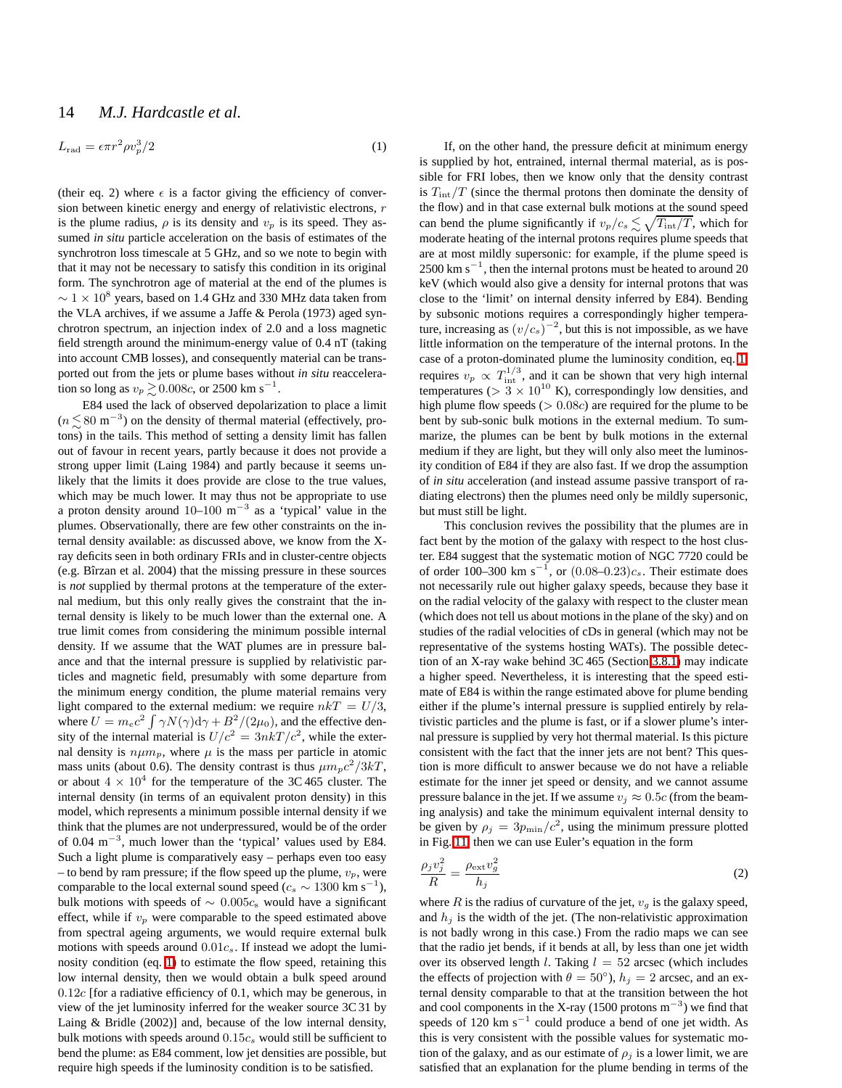# <span id="page-13-0"></span>14 *M.J. Hardcastle et al.*

$$
L_{\rm rad} = \epsilon \pi r^2 \rho v_p^3 / 2 \tag{1}
$$

(their eq. 2) where  $\epsilon$  is a factor giving the efficiency of conversion between kinetic energy and energy of relativistic electrons, r is the plume radius,  $\rho$  is its density and  $v_p$  is its speed. They assumed *in situ* particle acceleration on the basis of estimates of the synchrotron loss timescale at 5 GHz, and so we note to begin with that it may not be necessary to satisfy this condition in its original form. The synchrotron age of material at the end of the plumes is  $\sim 1 \times 10^8$  years, based on 1.4 GHz and 330 MHz data taken from the VLA archives, if we assume a Jaffe & Perola (1973) aged synchrotron spectrum, an injection index of 2.0 and a loss magnetic field strength around the minimum-energy value of 0.4 nT (taking into account CMB losses), and consequently material can be transported out from the jets or plume bases without *in situ* reacceleration so long as  $v_p \gtrsim 0.008c$ , or 2500 km s<sup>-1</sup>.

E84 used the lack of observed depolarization to place a limit  $(n \lesssim 80 \text{ m}^{-3})$  on the density of thermal material (effectively, protons) in the tails. This method of setting a density limit has fallen out of favour in recent years, partly because it does not provide a strong upper limit (Laing 1984) and partly because it seems unlikely that the limits it does provide are close to the true values, which may be much lower. It may thus not be appropriate to use a proton density around  $10-100$  m<sup>-3</sup> as a 'typical' value in the plumes. Observationally, there are few other constraints on the internal density available: as discussed above, we know from the Xray deficits seen in both ordinary FRIs and in cluster-centre objects (e.g. Bˆırzan et al. 2004) that the missing pressure in these sources is *not* supplied by thermal protons at the temperature of the external medium, but this only really gives the constraint that the internal density is likely to be much lower than the external one. A true limit comes from considering the minimum possible internal density. If we assume that the WAT plumes are in pressure balance and that the internal pressure is supplied by relativistic particles and magnetic field, presumably with some departure from the minimum energy condition, the plume material remains very light compared to the external medium: we require  $nkT = U/3$ , where  $U = m_e c^2 \int \gamma N(\gamma) d\gamma + B^2/(2\mu_0)$ , and the effective density of the internal material is  $U/c^2 = 3nkT/c^2$ , while the external density is  $n \mu m_p$ , where  $\mu$  is the mass per particle in atomic mass units (about 0.6). The density contrast is thus  $\mu m_p c^2/3kT$ , or about  $4 \times 10^4$  for the temperature of the 3C 465 cluster. The internal density (in terms of an equivalent proton density) in this model, which represents a minimum possible internal density if we think that the plumes are not underpressured, would be of the order of 0.04 m<sup>-3</sup>, much lower than the 'typical' values used by E84. Such a light plume is comparatively easy – perhaps even too easy – to bend by ram pressure; if the flow speed up the plume,  $v_p$ , were comparable to the local external sound speed ( $c_s \sim 1300 \text{ km s}^{-1}$ ), bulk motions with speeds of  $\sim 0.005c_s$  would have a significant effect, while if  $v_p$  were comparable to the speed estimated above from spectral ageing arguments, we would require external bulk motions with speeds around  $0.01c_s$ . If instead we adopt the luminosity condition (eq. [1\)](#page-13-0) to estimate the flow speed, retaining this low internal density, then we would obtain a bulk speed around  $0.12c$  [for a radiative efficiency of 0.1, which may be generous, in view of the jet luminosity inferred for the weaker source 3C 31 by Laing & Bridle (2002)] and, because of the low internal density, bulk motions with speeds around  $0.15c_s$  would still be sufficient to bend the plume: as E84 comment, low jet densities are possible, but require high speeds if the luminosity condition is to be satisfied.

If, on the other hand, the pressure deficit at minimum energy is supplied by hot, entrained, internal thermal material, as is possible for FRI lobes, then we know only that the density contrast is  $T_{\text{int}}/T$  (since the thermal protons then dominate the density of the flow) and in that case external bulk motions at the sound speed can bend the plume significantly if  $v_p/c_s \lesssim \sqrt{T_{\text{int}}/T}$ , which for moderate heating of the internal protons requires plume speeds that are at most mildly supersonic: for example, if the plume speed is 2500 km s<sup>-1</sup>, then the internal protons must be heated to around 20 keV (which would also give a density for internal protons that was close to the 'limit' on internal density inferred by E84). Bending by subsonic motions requires a correspondingly higher temperature, increasing as  $(v/c_s)^{-2}$ , but this is not impossible, as we have little information on the temperature of the internal protons. In the case of a proton-dominated plume the luminosity condition, eq. [1,](#page-13-0) requires  $v_p \propto T_{\text{int}}^{1/3}$ , and it can be shown that very high internal temperatures ( $> 3 \times 10^{10}$  K), correspondingly low densities, and high plume flow speeds ( $> 0.08c$ ) are required for the plume to be bent by sub-sonic bulk motions in the external medium. To summarize, the plumes can be bent by bulk motions in the external medium if they are light, but they will only also meet the luminosity condition of E84 if they are also fast. If we drop the assumption of *in situ* acceleration (and instead assume passive transport of radiating electrons) then the plumes need only be mildly supersonic, but must still be light.

This conclusion revives the possibility that the plumes are in fact bent by the motion of the galaxy with respect to the host cluster. E84 suggest that the systematic motion of NGC 7720 could be of order 100–300 km s<sup>-1</sup>, or  $(0.08-0.23)c_s$ . Their estimate does not necessarily rule out higher galaxy speeds, because they base it on the radial velocity of the galaxy with respect to the cluster mean (which does not tell us about motions in the plane of the sky) and on studies of the radial velocities of cDs in general (which may not be representative of the systems hosting WATs). The possible detection of an X-ray wake behind 3C 465 (Section [3.8.1\)](#page-7-2) may indicate a higher speed. Nevertheless, it is interesting that the speed estimate of E84 is within the range estimated above for plume bending either if the plume's internal pressure is supplied entirely by relativistic particles and the plume is fast, or if a slower plume's internal pressure is supplied by very hot thermal material. Is this picture consistent with the fact that the inner jets are not bent? This question is more difficult to answer because we do not have a reliable estimate for the inner jet speed or density, and we cannot assume pressure balance in the jet. If we assume  $v_i \approx 0.5c$  (from the beaming analysis) and take the minimum equivalent internal density to be given by  $\rho_j = 3p_{\min}/c^2$ , using the minimum pressure plotted in Fig. [11,](#page-11-0) then we can use Euler's equation in the form

$$
\frac{\rho_j v_j^2}{R} = \frac{\rho_{\text{ext}} v_g^2}{h_j} \tag{2}
$$

where R is the radius of curvature of the jet,  $v_q$  is the galaxy speed, and  $h_i$  is the width of the jet. (The non-relativistic approximation is not badly wrong in this case.) From the radio maps we can see that the radio jet bends, if it bends at all, by less than one jet width over its observed length *l*. Taking  $l = 52$  arcsec (which includes the effects of projection with  $\theta = 50^{\circ}$ ),  $h_j = 2$  arcsec, and an external density comparable to that at the transition between the hot and cool components in the X-ray (1500 protons  $m^{-3}$ ) we find that speeds of  $120 \text{ km s}^{-1}$  could produce a bend of one jet width. As this is very consistent with the possible values for systematic motion of the galaxy, and as our estimate of  $\rho_j$  is a lower limit, we are satisfied that an explanation for the plume bending in terms of the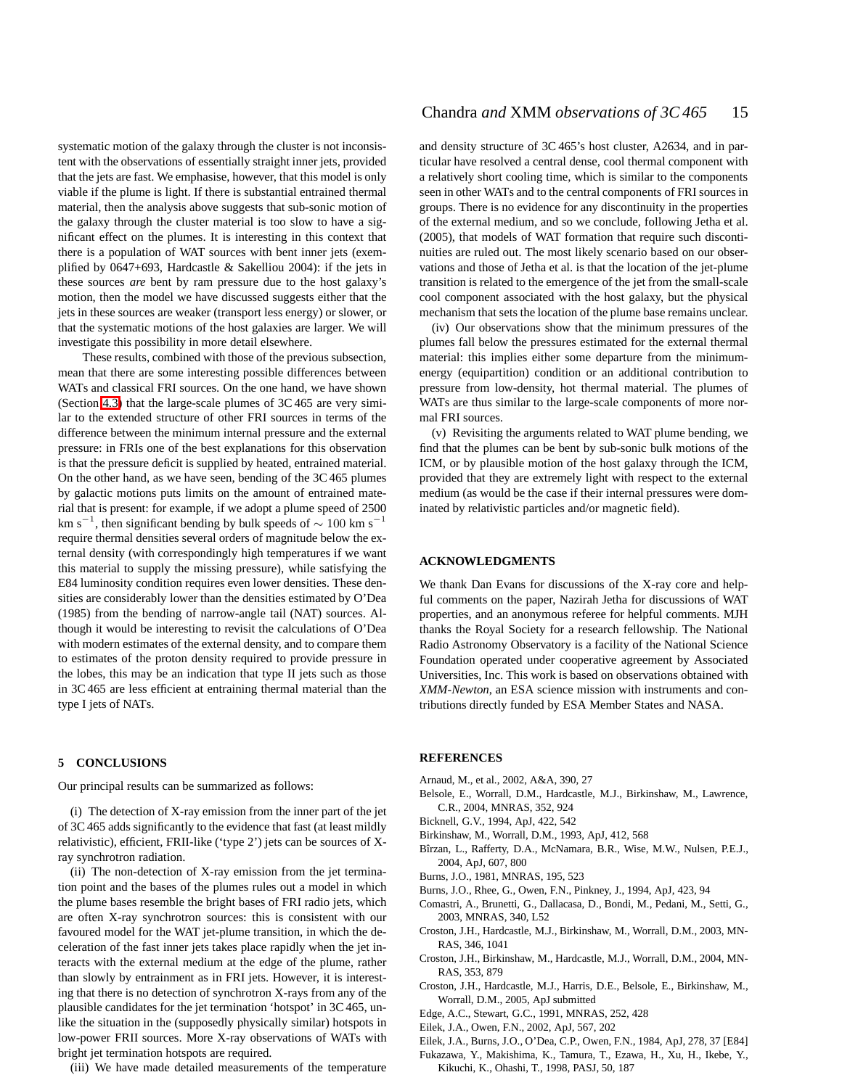systematic motion of the galaxy through the cluster is not inconsistent with the observations of essentially straight inner jets, provided that the jets are fast. We emphasise, however, that this model is only viable if the plume is light. If there is substantial entrained thermal material, then the analysis above suggests that sub-sonic motion of the galaxy through the cluster material is too slow to have a significant effect on the plumes. It is interesting in this context that there is a population of WAT sources with bent inner jets (exemplified by 0647+693, Hardcastle & Sakelliou 2004): if the jets in these sources *are* bent by ram pressure due to the host galaxy's motion, then the model we have discussed suggests either that the jets in these sources are weaker (transport less energy) or slower, or that the systematic motions of the host galaxies are larger. We will investigate this possibility in more detail elsewhere.

These results, combined with those of the previous subsection, mean that there are some interesting possible differences between WATs and classical FRI sources. On the one hand, we have shown (Section [4.3\)](#page-12-1) that the large-scale plumes of 3C 465 are very similar to the extended structure of other FRI sources in terms of the difference between the minimum internal pressure and the external pressure: in FRIs one of the best explanations for this observation is that the pressure deficit is supplied by heated, entrained material. On the other hand, as we have seen, bending of the 3C 465 plumes by galactic motions puts limits on the amount of entrained material that is present: for example, if we adopt a plume speed of 2500 km s<sup>-1</sup>, then significant bending by bulk speeds of  $\sim 100$  km s<sup>-1</sup> require thermal densities several orders of magnitude below the external density (with correspondingly high temperatures if we want this material to supply the missing pressure), while satisfying the E84 luminosity condition requires even lower densities. These densities are considerably lower than the densities estimated by O'Dea (1985) from the bending of narrow-angle tail (NAT) sources. Although it would be interesting to revisit the calculations of O'Dea with modern estimates of the external density, and to compare them to estimates of the proton density required to provide pressure in the lobes, this may be an indication that type II jets such as those in 3C 465 are less efficient at entraining thermal material than the type I jets of NATs.

#### **5 CONCLUSIONS**

Our principal results can be summarized as follows:

(i) The detection of X-ray emission from the inner part of the jet of 3C 465 adds significantly to the evidence that fast (at least mildly relativistic), efficient, FRII-like ('type 2') jets can be sources of Xray synchrotron radiation.

(ii) The non-detection of X-ray emission from the jet termination point and the bases of the plumes rules out a model in which the plume bases resemble the bright bases of FRI radio jets, which are often X-ray synchrotron sources: this is consistent with our favoured model for the WAT jet-plume transition, in which the deceleration of the fast inner jets takes place rapidly when the jet interacts with the external medium at the edge of the plume, rather than slowly by entrainment as in FRI jets. However, it is interesting that there is no detection of synchrotron X-rays from any of the plausible candidates for the jet termination 'hotspot' in 3C 465, unlike the situation in the (supposedly physically similar) hotspots in low-power FRII sources. More X-ray observations of WATs with bright jet termination hotspots are required.

(iii) We have made detailed measurements of the temperature

# Chandra *and* XMM *observations of 3C 465* 15

and density structure of 3C 465's host cluster, A2634, and in particular have resolved a central dense, cool thermal component with a relatively short cooling time, which is similar to the components seen in other WATs and to the central components of FRI sources in groups. There is no evidence for any discontinuity in the properties of the external medium, and so we conclude, following Jetha et al. (2005), that models of WAT formation that require such discontinuities are ruled out. The most likely scenario based on our observations and those of Jetha et al. is that the location of the jet-plume transition is related to the emergence of the jet from the small-scale cool component associated with the host galaxy, but the physical mechanism that sets the location of the plume base remains unclear.

(iv) Our observations show that the minimum pressures of the plumes fall below the pressures estimated for the external thermal material: this implies either some departure from the minimumenergy (equipartition) condition or an additional contribution to pressure from low-density, hot thermal material. The plumes of WATs are thus similar to the large-scale components of more normal FRI sources.

(v) Revisiting the arguments related to WAT plume bending, we find that the plumes can be bent by sub-sonic bulk motions of the ICM, or by plausible motion of the host galaxy through the ICM, provided that they are extremely light with respect to the external medium (as would be the case if their internal pressures were dominated by relativistic particles and/or magnetic field).

#### **ACKNOWLEDGMENTS**

We thank Dan Evans for discussions of the X-ray core and helpful comments on the paper, Nazirah Jetha for discussions of WAT properties, and an anonymous referee for helpful comments. MJH thanks the Royal Society for a research fellowship. The National Radio Astronomy Observatory is a facility of the National Science Foundation operated under cooperative agreement by Associated Universities, Inc. This work is based on observations obtained with *XMM-Newton*, an ESA science mission with instruments and contributions directly funded by ESA Member States and NASA.

#### **REFERENCES**

- Arnaud, M., et al., 2002, A&A, 390, 27
- Belsole, E., Worrall, D.M., Hardcastle, M.J., Birkinshaw, M., Lawrence, C.R., 2004, MNRAS, 352, 924
- Bicknell, G.V., 1994, ApJ, 422, 542
- Birkinshaw, M., Worrall, D.M., 1993, ApJ, 412, 568
- Bîrzan, L., Rafferty, D.A., McNamara, B.R., Wise, M.W., Nulsen, P.E.J., 2004, ApJ, 607, 800
- Burns, J.O., 1981, MNRAS, 195, 523
- Burns, J.O., Rhee, G., Owen, F.N., Pinkney, J., 1994, ApJ, 423, 94
- Comastri, A., Brunetti, G., Dallacasa, D., Bondi, M., Pedani, M., Setti, G., 2003, MNRAS, 340, L52
- Croston, J.H., Hardcastle, M.J., Birkinshaw, M., Worrall, D.M., 2003, MN-RAS, 346, 1041
- Croston, J.H., Birkinshaw, M., Hardcastle, M.J., Worrall, D.M., 2004, MN-RAS, 353, 879
- Croston, J.H., Hardcastle, M.J., Harris, D.E., Belsole, E., Birkinshaw, M., Worrall, D.M., 2005, ApJ submitted
- Edge, A.C., Stewart, G.C., 1991, MNRAS, 252, 428
- Eilek, J.A., Owen, F.N., 2002, ApJ, 567, 202
- Eilek, J.A., Burns, J.O., O'Dea, C.P., Owen, F.N., 1984, ApJ, 278, 37 [E84]
- Fukazawa, Y., Makishima, K., Tamura, T., Ezawa, H., Xu, H., Ikebe, Y.,
- Kikuchi, K., Ohashi, T., 1998, PASJ, 50, 187